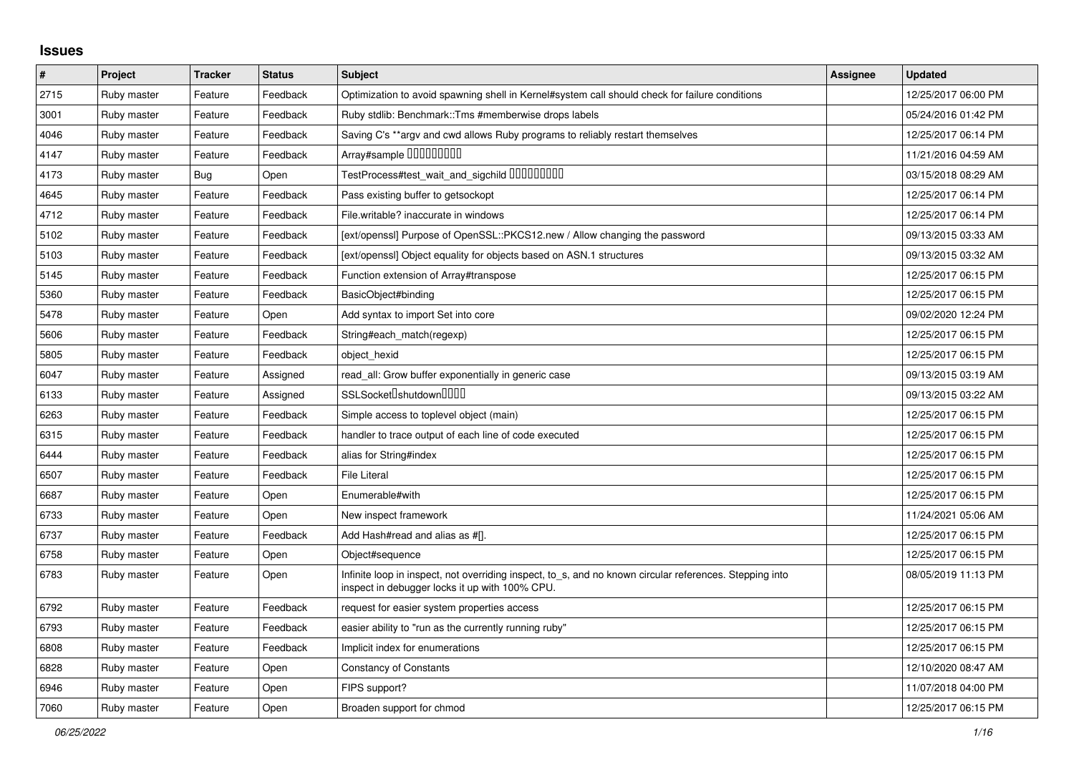## **Issues**

| $\sharp$ | Project     | <b>Tracker</b> | <b>Status</b> | <b>Subject</b>                                                                                                                                            | <b>Assignee</b> | <b>Updated</b>      |
|----------|-------------|----------------|---------------|-----------------------------------------------------------------------------------------------------------------------------------------------------------|-----------------|---------------------|
| 2715     | Ruby master | Feature        | Feedback      | Optimization to avoid spawning shell in Kernel#system call should check for failure conditions                                                            |                 | 12/25/2017 06:00 PM |
| 3001     | Ruby master | Feature        | Feedback      | Ruby stdlib: Benchmark::Tms #memberwise drops labels                                                                                                      |                 | 05/24/2016 01:42 PM |
| 4046     | Ruby master | Feature        | Feedback      | Saving C's **argy and cwd allows Ruby programs to reliably restart themselves                                                                             |                 | 12/25/2017 06:14 PM |
| 4147     | Ruby master | Feature        | Feedback      | Array#sample 000000000                                                                                                                                    |                 | 11/21/2016 04:59 AM |
| 4173     | Ruby master | <b>Bug</b>     | Open          | TestProcess#test_wait_and_sigchild 000000000                                                                                                              |                 | 03/15/2018 08:29 AM |
| 4645     | Ruby master | Feature        | Feedback      | Pass existing buffer to getsockopt                                                                                                                        |                 | 12/25/2017 06:14 PM |
| 4712     | Ruby master | Feature        | Feedback      | File.writable? inaccurate in windows                                                                                                                      |                 | 12/25/2017 06:14 PM |
| 5102     | Ruby master | Feature        | Feedback      | [ext/openssl] Purpose of OpenSSL::PKCS12.new / Allow changing the password                                                                                |                 | 09/13/2015 03:33 AM |
| 5103     | Ruby master | Feature        | Feedback      | [ext/openssl] Object equality for objects based on ASN.1 structures                                                                                       |                 | 09/13/2015 03:32 AM |
| 5145     | Ruby master | Feature        | Feedback      | Function extension of Array#transpose                                                                                                                     |                 | 12/25/2017 06:15 PM |
| 5360     | Ruby master | Feature        | Feedback      | BasicObject#binding                                                                                                                                       |                 | 12/25/2017 06:15 PM |
| 5478     | Ruby master | Feature        | Open          | Add syntax to import Set into core                                                                                                                        |                 | 09/02/2020 12:24 PM |
| 5606     | Ruby master | Feature        | Feedback      | String#each match(regexp)                                                                                                                                 |                 | 12/25/2017 06:15 PM |
| 5805     | Ruby master | Feature        | Feedback      | object hexid                                                                                                                                              |                 | 12/25/2017 06:15 PM |
| 6047     | Ruby master | Feature        | Assigned      | read_all: Grow buffer exponentially in generic case                                                                                                       |                 | 09/13/2015 03:19 AM |
| 6133     | Ruby master | Feature        | Assigned      | SSLSocket <sup>[</sup> shutdown <sup>[11]</sup>                                                                                                           |                 | 09/13/2015 03:22 AM |
| 6263     | Ruby master | Feature        | Feedback      | Simple access to toplevel object (main)                                                                                                                   |                 | 12/25/2017 06:15 PM |
| 6315     | Ruby master | Feature        | Feedback      | handler to trace output of each line of code executed                                                                                                     |                 | 12/25/2017 06:15 PM |
| 6444     | Ruby master | Feature        | Feedback      | alias for String#index                                                                                                                                    |                 | 12/25/2017 06:15 PM |
| 6507     | Ruby master | Feature        | Feedback      | <b>File Literal</b>                                                                                                                                       |                 | 12/25/2017 06:15 PM |
| 6687     | Ruby master | Feature        | Open          | Enumerable#with                                                                                                                                           |                 | 12/25/2017 06:15 PM |
| 6733     | Ruby master | Feature        | Open          | New inspect framework                                                                                                                                     |                 | 11/24/2021 05:06 AM |
| 6737     | Ruby master | Feature        | Feedback      | Add Hash#read and alias as #[].                                                                                                                           |                 | 12/25/2017 06:15 PM |
| 6758     | Ruby master | Feature        | Open          | Object#sequence                                                                                                                                           |                 | 12/25/2017 06:15 PM |
| 6783     | Ruby master | Feature        | Open          | Infinite loop in inspect, not overriding inspect, to_s, and no known circular references. Stepping into<br>inspect in debugger locks it up with 100% CPU. |                 | 08/05/2019 11:13 PM |
| 6792     | Ruby master | Feature        | Feedback      | request for easier system properties access                                                                                                               |                 | 12/25/2017 06:15 PM |
| 6793     | Ruby master | Feature        | Feedback      | easier ability to "run as the currently running ruby"                                                                                                     |                 | 12/25/2017 06:15 PM |
| 6808     | Ruby master | Feature        | Feedback      | Implicit index for enumerations                                                                                                                           |                 | 12/25/2017 06:15 PM |
| 6828     | Ruby master | Feature        | Open          | <b>Constancy of Constants</b>                                                                                                                             |                 | 12/10/2020 08:47 AM |
| 6946     | Ruby master | Feature        | Open          | FIPS support?                                                                                                                                             |                 | 11/07/2018 04:00 PM |
| 7060     | Ruby master | Feature        | Open          | Broaden support for chmod                                                                                                                                 |                 | 12/25/2017 06:15 PM |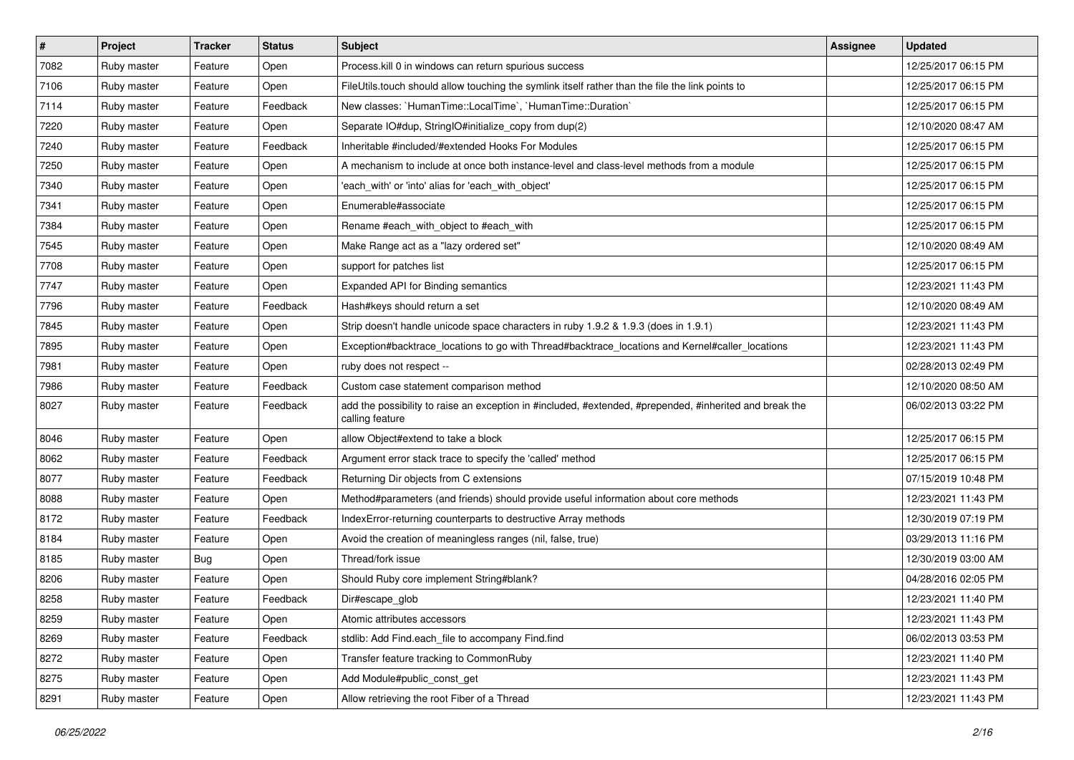| $\vert$ # | Project     | <b>Tracker</b> | <b>Status</b> | Subject                                                                                                                    | Assignee | <b>Updated</b>      |
|-----------|-------------|----------------|---------------|----------------------------------------------------------------------------------------------------------------------------|----------|---------------------|
| 7082      | Ruby master | Feature        | Open          | Process.kill 0 in windows can return spurious success                                                                      |          | 12/25/2017 06:15 PM |
| 7106      | Ruby master | Feature        | Open          | FileUtils.touch should allow touching the symlink itself rather than the file the link points to                           |          | 12/25/2017 06:15 PM |
| 7114      | Ruby master | Feature        | Feedback      | New classes: `HumanTime::LocalTime`, `HumanTime::Duration`                                                                 |          | 12/25/2017 06:15 PM |
| 7220      | Ruby master | Feature        | Open          | Separate IO#dup, StringIO#initialize_copy from dup(2)                                                                      |          | 12/10/2020 08:47 AM |
| 7240      | Ruby master | Feature        | Feedback      | Inheritable #included/#extended Hooks For Modules                                                                          |          | 12/25/2017 06:15 PM |
| 7250      | Ruby master | Feature        | Open          | A mechanism to include at once both instance-level and class-level methods from a module                                   |          | 12/25/2017 06:15 PM |
| 7340      | Ruby master | Feature        | Open          | 'each with' or 'into' alias for 'each with object'                                                                         |          | 12/25/2017 06:15 PM |
| 7341      | Ruby master | Feature        | Open          | Enumerable#associate                                                                                                       |          | 12/25/2017 06:15 PM |
| 7384      | Ruby master | Feature        | Open          | Rename #each_with_object to #each_with                                                                                     |          | 12/25/2017 06:15 PM |
| 7545      | Ruby master | Feature        | Open          | Make Range act as a "lazy ordered set"                                                                                     |          | 12/10/2020 08:49 AM |
| 7708      | Ruby master | Feature        | Open          | support for patches list                                                                                                   |          | 12/25/2017 06:15 PM |
| 7747      | Ruby master | Feature        | Open          | Expanded API for Binding semantics                                                                                         |          | 12/23/2021 11:43 PM |
| 7796      | Ruby master | Feature        | Feedback      | Hash#keys should return a set                                                                                              |          | 12/10/2020 08:49 AM |
| 7845      | Ruby master | Feature        | Open          | Strip doesn't handle unicode space characters in ruby 1.9.2 & 1.9.3 (does in 1.9.1)                                        |          | 12/23/2021 11:43 PM |
| 7895      | Ruby master | Feature        | Open          | Exception#backtrace_locations to go with Thread#backtrace_locations and Kernel#caller_locations                            |          | 12/23/2021 11:43 PM |
| 7981      | Ruby master | Feature        | Open          | ruby does not respect --                                                                                                   |          | 02/28/2013 02:49 PM |
| 7986      | Ruby master | Feature        | Feedback      | Custom case statement comparison method                                                                                    |          | 12/10/2020 08:50 AM |
| 8027      | Ruby master | Feature        | Feedback      | add the possibility to raise an exception in #included, #extended, #prepended, #inherited and break the<br>calling feature |          | 06/02/2013 03:22 PM |
| 8046      | Ruby master | Feature        | Open          | allow Object#extend to take a block                                                                                        |          | 12/25/2017 06:15 PM |
| 8062      | Ruby master | Feature        | Feedback      | Argument error stack trace to specify the 'called' method                                                                  |          | 12/25/2017 06:15 PM |
| 8077      | Ruby master | Feature        | Feedback      | Returning Dir objects from C extensions                                                                                    |          | 07/15/2019 10:48 PM |
| 8088      | Ruby master | Feature        | Open          | Method#parameters (and friends) should provide useful information about core methods                                       |          | 12/23/2021 11:43 PM |
| 8172      | Ruby master | Feature        | Feedback      | IndexError-returning counterparts to destructive Array methods                                                             |          | 12/30/2019 07:19 PM |
| 8184      | Ruby master | Feature        | Open          | Avoid the creation of meaningless ranges (nil, false, true)                                                                |          | 03/29/2013 11:16 PM |
| 8185      | Ruby master | <b>Bug</b>     | Open          | Thread/fork issue                                                                                                          |          | 12/30/2019 03:00 AM |
| 8206      | Ruby master | Feature        | Open          | Should Ruby core implement String#blank?                                                                                   |          | 04/28/2016 02:05 PM |
| 8258      | Ruby master | Feature        | Feedback      | Dir#escape_glob                                                                                                            |          | 12/23/2021 11:40 PM |
| 8259      | Ruby master | Feature        | Open          | Atomic attributes accessors                                                                                                |          | 12/23/2021 11:43 PM |
| 8269      | Ruby master | Feature        | Feedback      | stdlib: Add Find.each_file to accompany Find.find                                                                          |          | 06/02/2013 03:53 PM |
| 8272      | Ruby master | Feature        | Open          | Transfer feature tracking to CommonRuby                                                                                    |          | 12/23/2021 11:40 PM |
| 8275      | Ruby master | Feature        | Open          | Add Module#public_const_get                                                                                                |          | 12/23/2021 11:43 PM |
| 8291      | Ruby master | Feature        | Open          | Allow retrieving the root Fiber of a Thread                                                                                |          | 12/23/2021 11:43 PM |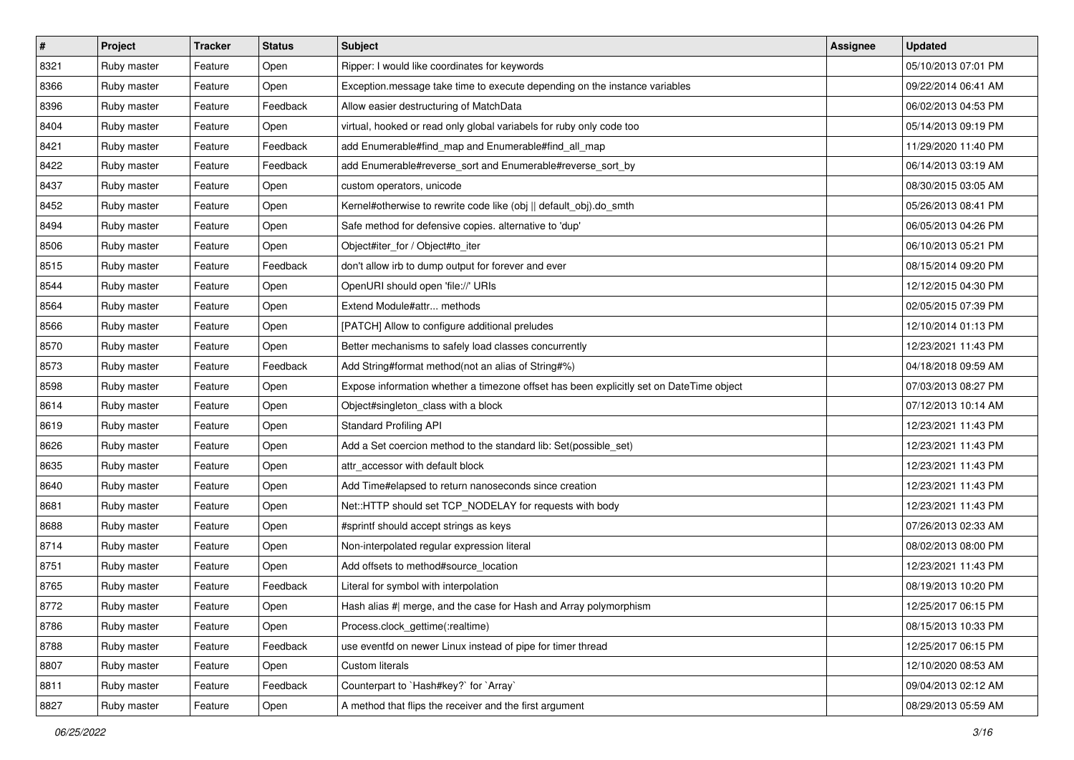| $\vert$ # | Project     | <b>Tracker</b> | <b>Status</b> | <b>Subject</b>                                                                          | Assignee | <b>Updated</b>      |
|-----------|-------------|----------------|---------------|-----------------------------------------------------------------------------------------|----------|---------------------|
| 8321      | Ruby master | Feature        | Open          | Ripper: I would like coordinates for keywords                                           |          | 05/10/2013 07:01 PM |
| 8366      | Ruby master | Feature        | Open          | Exception message take time to execute depending on the instance variables              |          | 09/22/2014 06:41 AM |
| 8396      | Ruby master | Feature        | Feedback      | Allow easier destructuring of MatchData                                                 |          | 06/02/2013 04:53 PM |
| 8404      | Ruby master | Feature        | Open          | virtual, hooked or read only global variabels for ruby only code too                    |          | 05/14/2013 09:19 PM |
| 8421      | Ruby master | Feature        | Feedback      | add Enumerable#find_map and Enumerable#find_all_map                                     |          | 11/29/2020 11:40 PM |
| 8422      | Ruby master | Feature        | Feedback      | add Enumerable#reverse_sort and Enumerable#reverse_sort_by                              |          | 06/14/2013 03:19 AM |
| 8437      | Ruby master | Feature        | Open          | custom operators, unicode                                                               |          | 08/30/2015 03:05 AM |
| 8452      | Ruby master | Feature        | Open          | Kernel#otherwise to rewrite code like (obj    default obj).do smth                      |          | 05/26/2013 08:41 PM |
| 8494      | Ruby master | Feature        | Open          | Safe method for defensive copies. alternative to 'dup'                                  |          | 06/05/2013 04:26 PM |
| 8506      | Ruby master | Feature        | Open          | Object#iter_for / Object#to_iter                                                        |          | 06/10/2013 05:21 PM |
| 8515      | Ruby master | Feature        | Feedback      | don't allow irb to dump output for forever and ever                                     |          | 08/15/2014 09:20 PM |
| 8544      | Ruby master | Feature        | Open          | OpenURI should open 'file://' URIs                                                      |          | 12/12/2015 04:30 PM |
| 8564      | Ruby master | Feature        | Open          | Extend Module#attr methods                                                              |          | 02/05/2015 07:39 PM |
| 8566      | Ruby master | Feature        | Open          | [PATCH] Allow to configure additional preludes                                          |          | 12/10/2014 01:13 PM |
| 8570      | Ruby master | Feature        | Open          | Better mechanisms to safely load classes concurrently                                   |          | 12/23/2021 11:43 PM |
| 8573      | Ruby master | Feature        | Feedback      | Add String#format method(not an alias of String#%)                                      |          | 04/18/2018 09:59 AM |
| 8598      | Ruby master | Feature        | Open          | Expose information whether a timezone offset has been explicitly set on DateTime object |          | 07/03/2013 08:27 PM |
| 8614      | Ruby master | Feature        | Open          | Object#singleton_class with a block                                                     |          | 07/12/2013 10:14 AM |
| 8619      | Ruby master | Feature        | Open          | <b>Standard Profiling API</b>                                                           |          | 12/23/2021 11:43 PM |
| 8626      | Ruby master | Feature        | Open          | Add a Set coercion method to the standard lib: Set(possible_set)                        |          | 12/23/2021 11:43 PM |
| 8635      | Ruby master | Feature        | Open          | attr accessor with default block                                                        |          | 12/23/2021 11:43 PM |
| 8640      | Ruby master | Feature        | Open          | Add Time#elapsed to return nanoseconds since creation                                   |          | 12/23/2021 11:43 PM |
| 8681      | Ruby master | Feature        | Open          | Net::HTTP should set TCP_NODELAY for requests with body                                 |          | 12/23/2021 11:43 PM |
| 8688      | Ruby master | Feature        | Open          | #sprintf should accept strings as keys                                                  |          | 07/26/2013 02:33 AM |
| 8714      | Ruby master | Feature        | Open          | Non-interpolated regular expression literal                                             |          | 08/02/2013 08:00 PM |
| 8751      | Ruby master | Feature        | Open          | Add offsets to method#source_location                                                   |          | 12/23/2021 11:43 PM |
| 8765      | Ruby master | Feature        | Feedback      | Literal for symbol with interpolation                                                   |          | 08/19/2013 10:20 PM |
| 8772      | Ruby master | Feature        | Open          | Hash alias #  merge, and the case for Hash and Array polymorphism                       |          | 12/25/2017 06:15 PM |
| 8786      | Ruby master | Feature        | Open          | Process.clock_gettime(:realtime)                                                        |          | 08/15/2013 10:33 PM |
| 8788      | Ruby master | Feature        | Feedback      | use eventfd on newer Linux instead of pipe for timer thread                             |          | 12/25/2017 06:15 PM |
| 8807      | Ruby master | Feature        | Open          | Custom literals                                                                         |          | 12/10/2020 08:53 AM |
| 8811      | Ruby master | Feature        | Feedback      | Counterpart to `Hash#key?` for `Array`                                                  |          | 09/04/2013 02:12 AM |
| 8827      | Ruby master | Feature        | Open          | A method that flips the receiver and the first argument                                 |          | 08/29/2013 05:59 AM |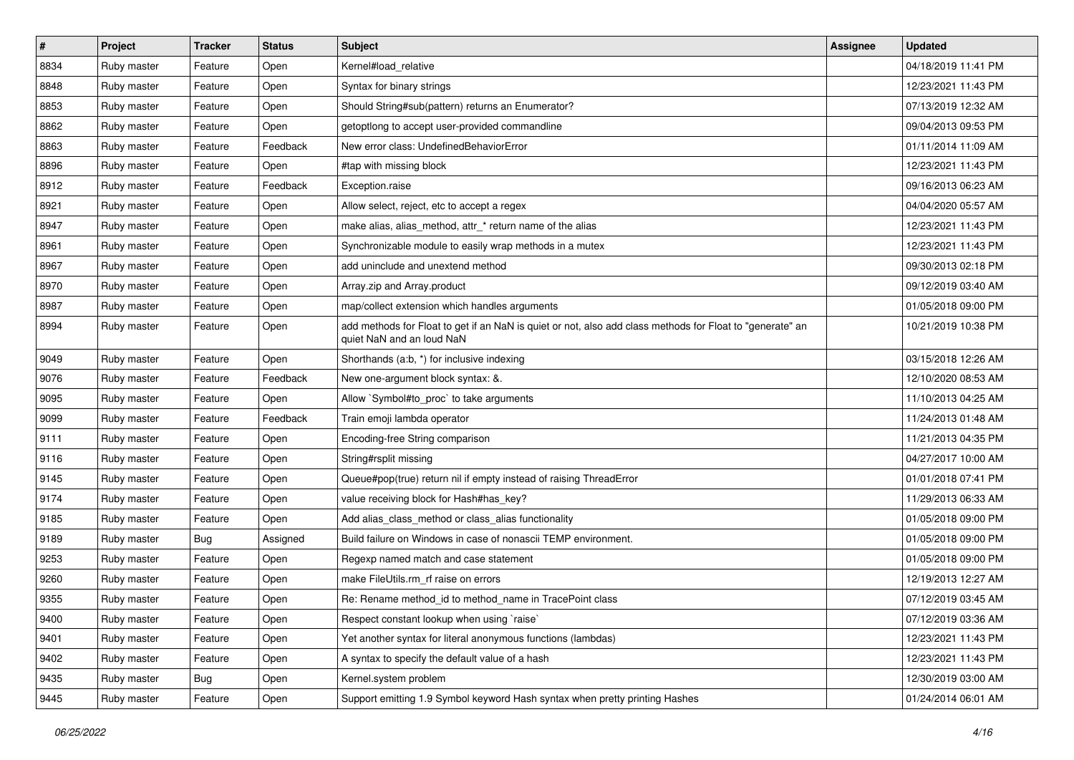| $\vert$ # | Project     | <b>Tracker</b> | <b>Status</b> | <b>Subject</b>                                                                                                                         | <b>Assignee</b> | <b>Updated</b>      |
|-----------|-------------|----------------|---------------|----------------------------------------------------------------------------------------------------------------------------------------|-----------------|---------------------|
| 8834      | Ruby master | Feature        | Open          | Kernel#load_relative                                                                                                                   |                 | 04/18/2019 11:41 PM |
| 8848      | Ruby master | Feature        | Open          | Syntax for binary strings                                                                                                              |                 | 12/23/2021 11:43 PM |
| 8853      | Ruby master | Feature        | Open          | Should String#sub(pattern) returns an Enumerator?                                                                                      |                 | 07/13/2019 12:32 AM |
| 8862      | Ruby master | Feature        | Open          | getoptiong to accept user-provided commandline                                                                                         |                 | 09/04/2013 09:53 PM |
| 8863      | Ruby master | Feature        | Feedback      | New error class: UndefinedBehaviorError                                                                                                |                 | 01/11/2014 11:09 AM |
| 8896      | Ruby master | Feature        | Open          | #tap with missing block                                                                                                                |                 | 12/23/2021 11:43 PM |
| 8912      | Ruby master | Feature        | Feedback      | Exception.raise                                                                                                                        |                 | 09/16/2013 06:23 AM |
| 8921      | Ruby master | Feature        | Open          | Allow select, reject, etc to accept a regex                                                                                            |                 | 04/04/2020 05:57 AM |
| 8947      | Ruby master | Feature        | Open          | make alias, alias_method, attr_* return name of the alias                                                                              |                 | 12/23/2021 11:43 PM |
| 8961      | Ruby master | Feature        | Open          | Synchronizable module to easily wrap methods in a mutex                                                                                |                 | 12/23/2021 11:43 PM |
| 8967      | Ruby master | Feature        | Open          | add uninclude and unextend method                                                                                                      |                 | 09/30/2013 02:18 PM |
| 8970      | Ruby master | Feature        | Open          | Array.zip and Array.product                                                                                                            |                 | 09/12/2019 03:40 AM |
| 8987      | Ruby master | Feature        | Open          | map/collect extension which handles arguments                                                                                          |                 | 01/05/2018 09:00 PM |
| 8994      | Ruby master | Feature        | Open          | add methods for Float to get if an NaN is quiet or not, also add class methods for Float to "generate" an<br>quiet NaN and an loud NaN |                 | 10/21/2019 10:38 PM |
| 9049      | Ruby master | Feature        | Open          | Shorthands (a:b, *) for inclusive indexing                                                                                             |                 | 03/15/2018 12:26 AM |
| 9076      | Ruby master | Feature        | Feedback      | New one-argument block syntax: &.                                                                                                      |                 | 12/10/2020 08:53 AM |
| 9095      | Ruby master | Feature        | Open          | Allow `Symbol#to_proc` to take arguments                                                                                               |                 | 11/10/2013 04:25 AM |
| 9099      | Ruby master | Feature        | Feedback      | Train emoji lambda operator                                                                                                            |                 | 11/24/2013 01:48 AM |
| 9111      | Ruby master | Feature        | Open          | Encoding-free String comparison                                                                                                        |                 | 11/21/2013 04:35 PM |
| 9116      | Ruby master | Feature        | Open          | String#rsplit missing                                                                                                                  |                 | 04/27/2017 10:00 AM |
| 9145      | Ruby master | Feature        | Open          | Queue#pop(true) return nil if empty instead of raising ThreadError                                                                     |                 | 01/01/2018 07:41 PM |
| 9174      | Ruby master | Feature        | Open          | value receiving block for Hash#has_key?                                                                                                |                 | 11/29/2013 06:33 AM |
| 9185      | Ruby master | Feature        | Open          | Add alias class method or class alias functionality                                                                                    |                 | 01/05/2018 09:00 PM |
| 9189      | Ruby master | Bug            | Assigned      | Build failure on Windows in case of nonascii TEMP environment.                                                                         |                 | 01/05/2018 09:00 PM |
| 9253      | Ruby master | Feature        | Open          | Regexp named match and case statement                                                                                                  |                 | 01/05/2018 09:00 PM |
| 9260      | Ruby master | Feature        | Open          | make FileUtils.rm rf raise on errors                                                                                                   |                 | 12/19/2013 12:27 AM |
| 9355      | Ruby master | Feature        | Open          | Re: Rename method id to method name in TracePoint class                                                                                |                 | 07/12/2019 03:45 AM |
| 9400      | Ruby master | Feature        | Open          | Respect constant lookup when using `raise`                                                                                             |                 | 07/12/2019 03:36 AM |
| 9401      | Ruby master | Feature        | Open          | Yet another syntax for literal anonymous functions (lambdas)                                                                           |                 | 12/23/2021 11:43 PM |
| 9402      | Ruby master | Feature        | Open          | A syntax to specify the default value of a hash                                                                                        |                 | 12/23/2021 11:43 PM |
| 9435      | Ruby master | <b>Bug</b>     | Open          | Kernel.system problem                                                                                                                  |                 | 12/30/2019 03:00 AM |
| 9445      | Ruby master | Feature        | Open          | Support emitting 1.9 Symbol keyword Hash syntax when pretty printing Hashes                                                            |                 | 01/24/2014 06:01 AM |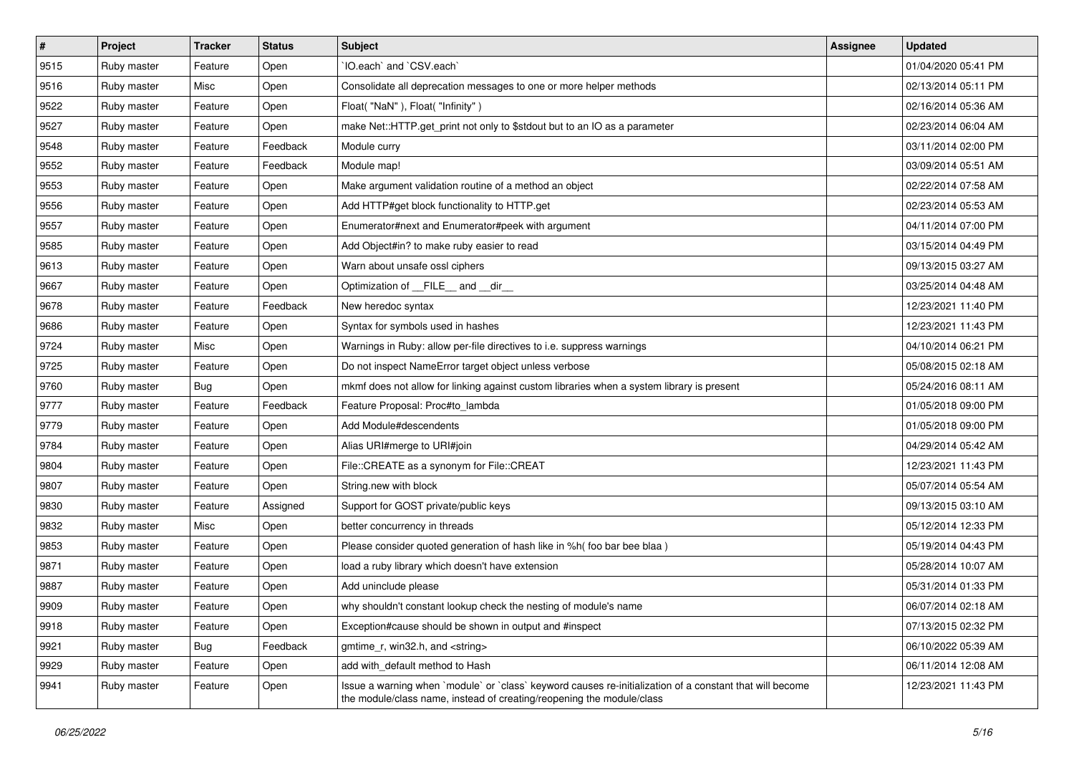| $\vert$ # | Project     | <b>Tracker</b> | <b>Status</b> | <b>Subject</b>                                                                                                                                                                    | Assignee | <b>Updated</b>      |
|-----------|-------------|----------------|---------------|-----------------------------------------------------------------------------------------------------------------------------------------------------------------------------------|----------|---------------------|
| 9515      | Ruby master | Feature        | Open          | 'IO.each' and 'CSV.each'                                                                                                                                                          |          | 01/04/2020 05:41 PM |
| 9516      | Ruby master | Misc           | Open          | Consolidate all deprecation messages to one or more helper methods                                                                                                                |          | 02/13/2014 05:11 PM |
| 9522      | Ruby master | Feature        | Open          | Float("NaN"), Float("Infinity")                                                                                                                                                   |          | 02/16/2014 05:36 AM |
| 9527      | Ruby master | Feature        | Open          | make Net::HTTP.get_print not only to \$stdout but to an IO as a parameter                                                                                                         |          | 02/23/2014 06:04 AM |
| 9548      | Ruby master | Feature        | Feedback      | Module curry                                                                                                                                                                      |          | 03/11/2014 02:00 PM |
| 9552      | Ruby master | Feature        | Feedback      | Module map!                                                                                                                                                                       |          | 03/09/2014 05:51 AM |
| 9553      | Ruby master | Feature        | Open          | Make argument validation routine of a method an object                                                                                                                            |          | 02/22/2014 07:58 AM |
| 9556      | Ruby master | Feature        | Open          | Add HTTP#get block functionality to HTTP.get                                                                                                                                      |          | 02/23/2014 05:53 AM |
| 9557      | Ruby master | Feature        | Open          | Enumerator#next and Enumerator#peek with argument                                                                                                                                 |          | 04/11/2014 07:00 PM |
| 9585      | Ruby master | Feature        | Open          | Add Object#in? to make ruby easier to read                                                                                                                                        |          | 03/15/2014 04:49 PM |
| 9613      | Ruby master | Feature        | Open          | Warn about unsafe ossl ciphers                                                                                                                                                    |          | 09/13/2015 03:27 AM |
| 9667      | Ruby master | Feature        | Open          | Optimization of FILE_and _dir_                                                                                                                                                    |          | 03/25/2014 04:48 AM |
| 9678      | Ruby master | Feature        | Feedback      | New heredoc syntax                                                                                                                                                                |          | 12/23/2021 11:40 PM |
| 9686      | Ruby master | Feature        | Open          | Syntax for symbols used in hashes                                                                                                                                                 |          | 12/23/2021 11:43 PM |
| 9724      | Ruby master | Misc           | Open          | Warnings in Ruby: allow per-file directives to i.e. suppress warnings                                                                                                             |          | 04/10/2014 06:21 PM |
| 9725      | Ruby master | Feature        | Open          | Do not inspect NameError target object unless verbose                                                                                                                             |          | 05/08/2015 02:18 AM |
| 9760      | Ruby master | Bug            | Open          | mkmf does not allow for linking against custom libraries when a system library is present                                                                                         |          | 05/24/2016 08:11 AM |
| 9777      | Ruby master | Feature        | Feedback      | Feature Proposal: Proc#to_lambda                                                                                                                                                  |          | 01/05/2018 09:00 PM |
| 9779      | Ruby master | Feature        | Open          | Add Module#descendents                                                                                                                                                            |          | 01/05/2018 09:00 PM |
| 9784      | Ruby master | Feature        | Open          | Alias URI#merge to URI#join                                                                                                                                                       |          | 04/29/2014 05:42 AM |
| 9804      | Ruby master | Feature        | Open          | File::CREATE as a synonym for File::CREAT                                                                                                                                         |          | 12/23/2021 11:43 PM |
| 9807      | Ruby master | Feature        | Open          | String.new with block                                                                                                                                                             |          | 05/07/2014 05:54 AM |
| 9830      | Ruby master | Feature        | Assigned      | Support for GOST private/public keys                                                                                                                                              |          | 09/13/2015 03:10 AM |
| 9832      | Ruby master | Misc           | Open          | better concurrency in threads                                                                                                                                                     |          | 05/12/2014 12:33 PM |
| 9853      | Ruby master | Feature        | Open          | Please consider quoted generation of hash like in %h( foo bar bee blaa )                                                                                                          |          | 05/19/2014 04:43 PM |
| 9871      | Ruby master | Feature        | Open          | load a ruby library which doesn't have extension                                                                                                                                  |          | 05/28/2014 10:07 AM |
| 9887      | Ruby master | Feature        | Open          | Add uninclude please                                                                                                                                                              |          | 05/31/2014 01:33 PM |
| 9909      | Ruby master | Feature        | Open          | why shouldn't constant lookup check the nesting of module's name                                                                                                                  |          | 06/07/2014 02:18 AM |
| 9918      | Ruby master | Feature        | Open          | Exception#cause should be shown in output and #inspect                                                                                                                            |          | 07/13/2015 02:32 PM |
| 9921      | Ruby master | <b>Bug</b>     | Feedback      | gmtime r, win32.h, and <string></string>                                                                                                                                          |          | 06/10/2022 05:39 AM |
| 9929      | Ruby master | Feature        | Open          | add with_default method to Hash                                                                                                                                                   |          | 06/11/2014 12:08 AM |
| 9941      | Ruby master | Feature        | Open          | Issue a warning when `module` or `class` keyword causes re-initialization of a constant that will become<br>the module/class name, instead of creating/reopening the module/class |          | 12/23/2021 11:43 PM |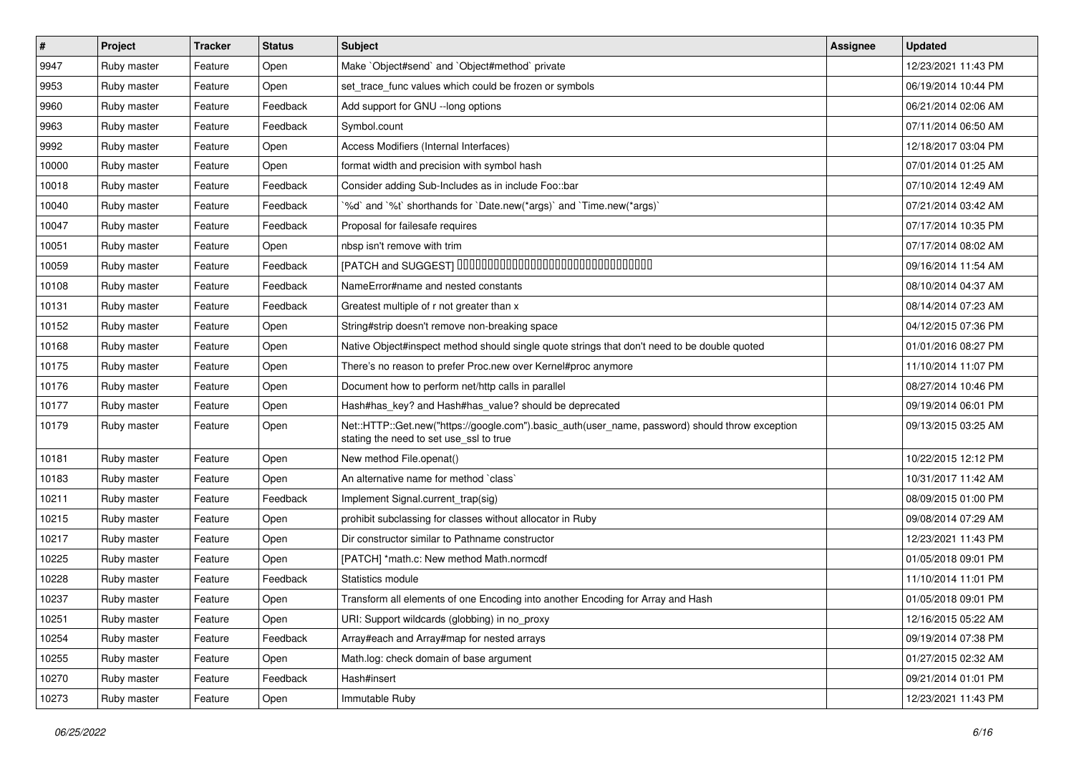| $\vert$ # | Project     | <b>Tracker</b> | <b>Status</b> | <b>Subject</b>                                                                                                                             | <b>Assignee</b> | <b>Updated</b>      |
|-----------|-------------|----------------|---------------|--------------------------------------------------------------------------------------------------------------------------------------------|-----------------|---------------------|
| 9947      | Ruby master | Feature        | Open          | Make `Object#send` and `Object#method` private                                                                                             |                 | 12/23/2021 11:43 PM |
| 9953      | Ruby master | Feature        | Open          | set_trace_func values which could be frozen or symbols                                                                                     |                 | 06/19/2014 10:44 PM |
| 9960      | Ruby master | Feature        | Feedback      | Add support for GNU -- long options                                                                                                        |                 | 06/21/2014 02:06 AM |
| 9963      | Ruby master | Feature        | Feedback      | Symbol.count                                                                                                                               |                 | 07/11/2014 06:50 AM |
| 9992      | Ruby master | Feature        | Open          | Access Modifiers (Internal Interfaces)                                                                                                     |                 | 12/18/2017 03:04 PM |
| 10000     | Ruby master | Feature        | Open          | format width and precision with symbol hash                                                                                                |                 | 07/01/2014 01:25 AM |
| 10018     | Ruby master | Feature        | Feedback      | Consider adding Sub-Includes as in include Foo::bar                                                                                        |                 | 07/10/2014 12:49 AM |
| 10040     | Ruby master | Feature        | Feedback      | '%d' and '%t' shorthands for 'Date.new(*args)' and 'Time.new(*args)'                                                                       |                 | 07/21/2014 03:42 AM |
| 10047     | Ruby master | Feature        | Feedback      | Proposal for failesafe requires                                                                                                            |                 | 07/17/2014 10:35 PM |
| 10051     | Ruby master | Feature        | Open          | nbsp isn't remove with trim                                                                                                                |                 | 07/17/2014 08:02 AM |
| 10059     | Ruby master | Feature        | Feedback      | [PATCH and SUGGEST] 0000000000000000000000000000000                                                                                        |                 | 09/16/2014 11:54 AM |
| 10108     | Ruby master | Feature        | Feedback      | NameError#name and nested constants                                                                                                        |                 | 08/10/2014 04:37 AM |
| 10131     | Ruby master | Feature        | Feedback      | Greatest multiple of r not greater than x                                                                                                  |                 | 08/14/2014 07:23 AM |
| 10152     | Ruby master | Feature        | Open          | String#strip doesn't remove non-breaking space                                                                                             |                 | 04/12/2015 07:36 PM |
| 10168     | Ruby master | Feature        | Open          | Native Object#inspect method should single quote strings that don't need to be double quoted                                               |                 | 01/01/2016 08:27 PM |
| 10175     | Ruby master | Feature        | Open          | There's no reason to prefer Proc.new over Kernel#proc anymore                                                                              |                 | 11/10/2014 11:07 PM |
| 10176     | Ruby master | Feature        | Open          | Document how to perform net/http calls in parallel                                                                                         |                 | 08/27/2014 10:46 PM |
| 10177     | Ruby master | Feature        | Open          | Hash#has_key? and Hash#has_value? should be deprecated                                                                                     |                 | 09/19/2014 06:01 PM |
| 10179     | Ruby master | Feature        | Open          | Net::HTTP::Get.new("https://google.com").basic_auth(user_name, password) should throw exception<br>stating the need to set use_ssl to true |                 | 09/13/2015 03:25 AM |
| 10181     | Ruby master | Feature        | Open          | New method File.openat()                                                                                                                   |                 | 10/22/2015 12:12 PM |
| 10183     | Ruby master | Feature        | Open          | An alternative name for method `class`                                                                                                     |                 | 10/31/2017 11:42 AM |
| 10211     | Ruby master | Feature        | Feedback      | Implement Signal.current_trap(sig)                                                                                                         |                 | 08/09/2015 01:00 PM |
| 10215     | Ruby master | Feature        | Open          | prohibit subclassing for classes without allocator in Ruby                                                                                 |                 | 09/08/2014 07:29 AM |
| 10217     | Ruby master | Feature        | Open          | Dir constructor similar to Pathname constructor                                                                                            |                 | 12/23/2021 11:43 PM |
| 10225     | Ruby master | Feature        | Open          | [PATCH] *math.c: New method Math.normcdf                                                                                                   |                 | 01/05/2018 09:01 PM |
| 10228     | Ruby master | Feature        | Feedback      | Statistics module                                                                                                                          |                 | 11/10/2014 11:01 PM |
| 10237     | Ruby master | Feature        | Open          | Transform all elements of one Encoding into another Encoding for Array and Hash                                                            |                 | 01/05/2018 09:01 PM |
| 10251     | Ruby master | Feature        | Open          | URI: Support wildcards (globbing) in no_proxy                                                                                              |                 | 12/16/2015 05:22 AM |
| 10254     | Ruby master | Feature        | Feedback      | Array#each and Array#map for nested arrays                                                                                                 |                 | 09/19/2014 07:38 PM |
| 10255     | Ruby master | Feature        | Open          | Math.log: check domain of base argument                                                                                                    |                 | 01/27/2015 02:32 AM |
| 10270     | Ruby master | Feature        | Feedback      | Hash#insert                                                                                                                                |                 | 09/21/2014 01:01 PM |
| 10273     | Ruby master | Feature        | Open          | Immutable Ruby                                                                                                                             |                 | 12/23/2021 11:43 PM |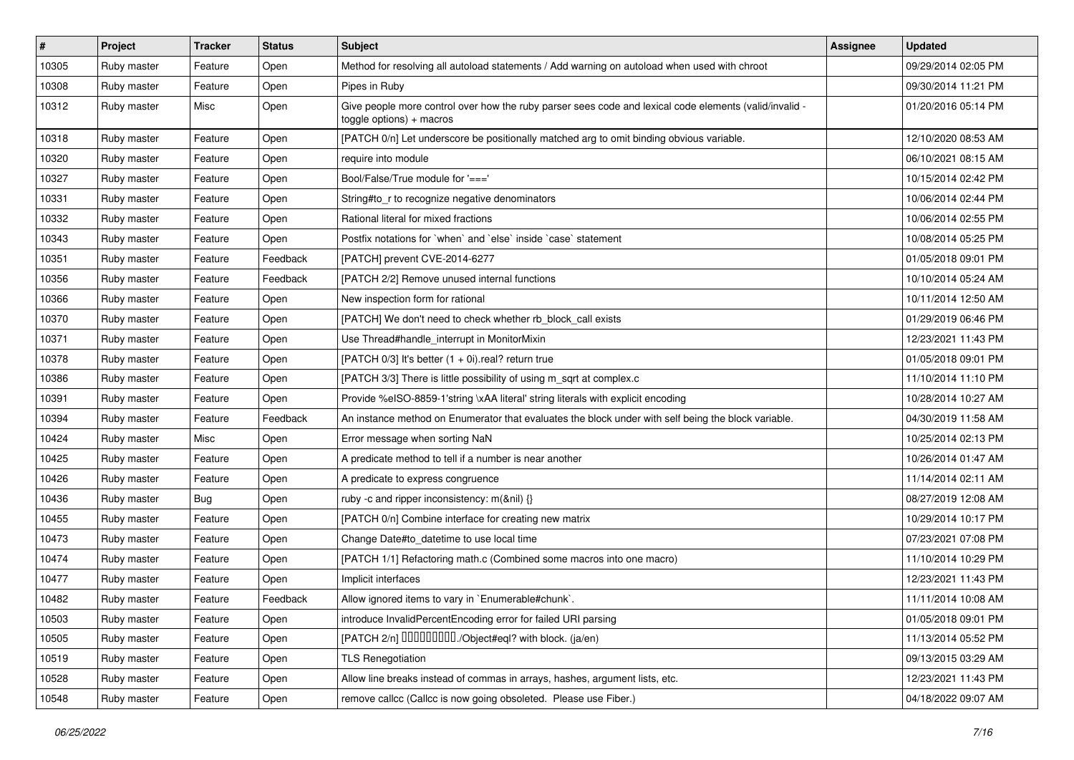| $\sharp$ | Project     | <b>Tracker</b> | <b>Status</b> | Subject                                                                                                                            | <b>Assignee</b> | <b>Updated</b>      |
|----------|-------------|----------------|---------------|------------------------------------------------------------------------------------------------------------------------------------|-----------------|---------------------|
| 10305    | Ruby master | Feature        | Open          | Method for resolving all autoload statements / Add warning on autoload when used with chroot                                       |                 | 09/29/2014 02:05 PM |
| 10308    | Ruby master | Feature        | Open          | Pipes in Ruby                                                                                                                      |                 | 09/30/2014 11:21 PM |
| 10312    | Ruby master | Misc           | Open          | Give people more control over how the ruby parser sees code and lexical code elements (valid/invalid -<br>toggle options) + macros |                 | 01/20/2016 05:14 PM |
| 10318    | Ruby master | Feature        | Open          | [PATCH 0/n] Let underscore be positionally matched arg to omit binding obvious variable.                                           |                 | 12/10/2020 08:53 AM |
| 10320    | Ruby master | Feature        | Open          | require into module                                                                                                                |                 | 06/10/2021 08:15 AM |
| 10327    | Ruby master | Feature        | Open          | Bool/False/True module for '==='                                                                                                   |                 | 10/15/2014 02:42 PM |
| 10331    | Ruby master | Feature        | Open          | String#to_r to recognize negative denominators                                                                                     |                 | 10/06/2014 02:44 PM |
| 10332    | Ruby master | Feature        | Open          | Rational literal for mixed fractions                                                                                               |                 | 10/06/2014 02:55 PM |
| 10343    | Ruby master | Feature        | Open          | Postfix notations for `when` and `else` inside `case` statement                                                                    |                 | 10/08/2014 05:25 PM |
| 10351    | Ruby master | Feature        | Feedback      | [PATCH] prevent CVE-2014-6277                                                                                                      |                 | 01/05/2018 09:01 PM |
| 10356    | Ruby master | Feature        | Feedback      | [PATCH 2/2] Remove unused internal functions                                                                                       |                 | 10/10/2014 05:24 AM |
| 10366    | Ruby master | Feature        | Open          | New inspection form for rational                                                                                                   |                 | 10/11/2014 12:50 AM |
| 10370    | Ruby master | Feature        | Open          | [PATCH] We don't need to check whether rb_block_call exists                                                                        |                 | 01/29/2019 06:46 PM |
| 10371    | Ruby master | Feature        | Open          | Use Thread#handle_interrupt in MonitorMixin                                                                                        |                 | 12/23/2021 11:43 PM |
| 10378    | Ruby master | Feature        | Open          | [PATCH 0/3] It's better $(1 + 0i)$ .real? return true                                                                              |                 | 01/05/2018 09:01 PM |
| 10386    | Ruby master | Feature        | Open          | [PATCH 3/3] There is little possibility of using m_sqrt at complex.c                                                               |                 | 11/10/2014 11:10 PM |
| 10391    | Ruby master | Feature        | Open          | Provide %eISO-8859-1'string \xAA literal' string literals with explicit encoding                                                   |                 | 10/28/2014 10:27 AM |
| 10394    | Ruby master | Feature        | Feedback      | An instance method on Enumerator that evaluates the block under with self being the block variable.                                |                 | 04/30/2019 11:58 AM |
| 10424    | Ruby master | Misc           | Open          | Error message when sorting NaN                                                                                                     |                 | 10/25/2014 02:13 PM |
| 10425    | Ruby master | Feature        | Open          | A predicate method to tell if a number is near another                                                                             |                 | 10/26/2014 01:47 AM |
| 10426    | Ruby master | Feature        | Open          | A predicate to express congruence                                                                                                  |                 | 11/14/2014 02:11 AM |
| 10436    | Ruby master | <b>Bug</b>     | Open          | ruby -c and ripper inconsistency: m(&nil) {}                                                                                       |                 | 08/27/2019 12:08 AM |
| 10455    | Ruby master | Feature        | Open          | [PATCH 0/n] Combine interface for creating new matrix                                                                              |                 | 10/29/2014 10:17 PM |
| 10473    | Ruby master | Feature        | Open          | Change Date#to_datetime to use local time                                                                                          |                 | 07/23/2021 07:08 PM |
| 10474    | Ruby master | Feature        | Open          | [PATCH 1/1] Refactoring math.c (Combined some macros into one macro)                                                               |                 | 11/10/2014 10:29 PM |
| 10477    | Ruby master | Feature        | Open          | Implicit interfaces                                                                                                                |                 | 12/23/2021 11:43 PM |
| 10482    | Ruby master | Feature        | Feedback      | Allow ignored items to vary in `Enumerable#chunk`.                                                                                 |                 | 11/11/2014 10:08 AM |
| 10503    | Ruby master | Feature        | Open          | introduce InvalidPercentEncoding error for failed URI parsing                                                                      |                 | 01/05/2018 09:01 PM |
| 10505    | Ruby master | Feature        | Open          | [PATCH 2/n] DDDDDDDD./Object#eql? with block. (ja/en)                                                                              |                 | 11/13/2014 05:52 PM |
| 10519    | Ruby master | Feature        | Open          | <b>TLS Renegotiation</b>                                                                                                           |                 | 09/13/2015 03:29 AM |
| 10528    | Ruby master | Feature        | Open          | Allow line breaks instead of commas in arrays, hashes, argument lists, etc.                                                        |                 | 12/23/2021 11:43 PM |
| 10548    | Ruby master | Feature        | Open          | remove callcc (Callcc is now going obsoleted. Please use Fiber.)                                                                   |                 | 04/18/2022 09:07 AM |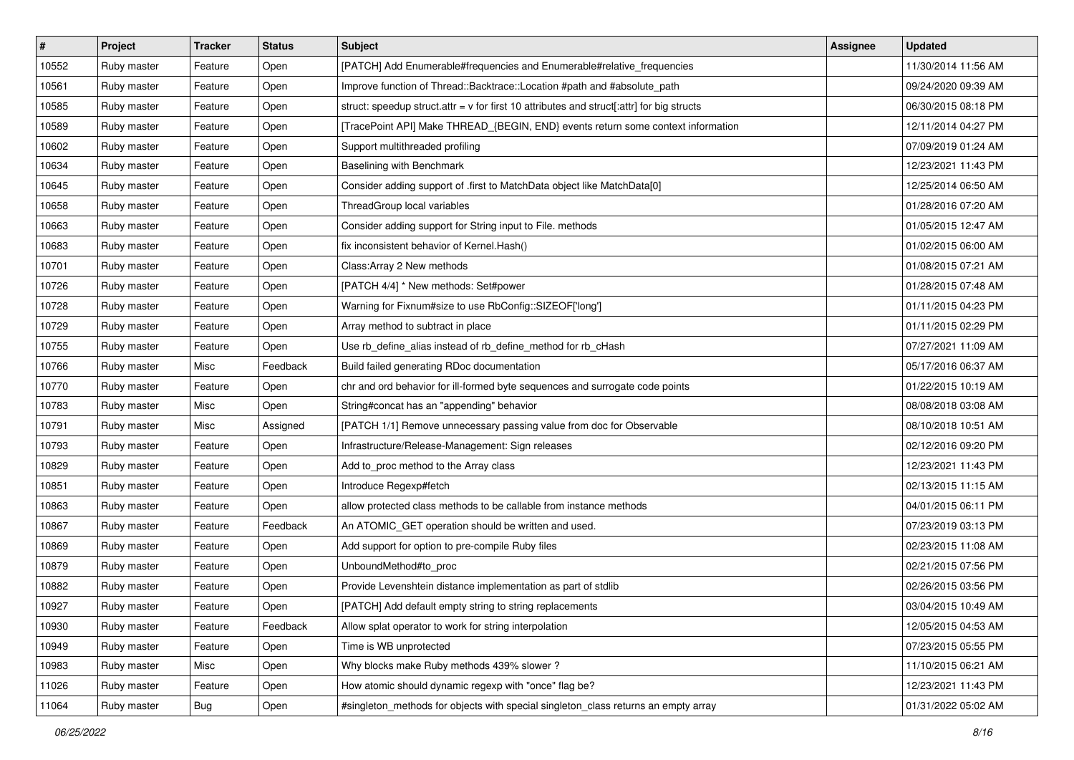| $\vert$ # | Project     | <b>Tracker</b> | <b>Status</b> | <b>Subject</b>                                                                              | Assignee | <b>Updated</b>      |
|-----------|-------------|----------------|---------------|---------------------------------------------------------------------------------------------|----------|---------------------|
| 10552     | Ruby master | Feature        | Open          | [PATCH] Add Enumerable#frequencies and Enumerable#relative_frequencies                      |          | 11/30/2014 11:56 AM |
| 10561     | Ruby master | Feature        | Open          | Improve function of Thread::Backtrace::Location #path and #absolute_path                    |          | 09/24/2020 09:39 AM |
| 10585     | Ruby master | Feature        | Open          | struct: speedup struct.attr = $v$ for first 10 attributes and struct[:attr] for big structs |          | 06/30/2015 08:18 PM |
| 10589     | Ruby master | Feature        | Open          | [TracePoint API] Make THREAD_{BEGIN, END} events return some context information            |          | 12/11/2014 04:27 PM |
| 10602     | Ruby master | Feature        | Open          | Support multithreaded profiling                                                             |          | 07/09/2019 01:24 AM |
| 10634     | Ruby master | Feature        | Open          | Baselining with Benchmark                                                                   |          | 12/23/2021 11:43 PM |
| 10645     | Ruby master | Feature        | Open          | Consider adding support of .first to MatchData object like MatchData[0]                     |          | 12/25/2014 06:50 AM |
| 10658     | Ruby master | Feature        | Open          | ThreadGroup local variables                                                                 |          | 01/28/2016 07:20 AM |
| 10663     | Ruby master | Feature        | Open          | Consider adding support for String input to File. methods                                   |          | 01/05/2015 12:47 AM |
| 10683     | Ruby master | Feature        | Open          | fix inconsistent behavior of Kernel.Hash()                                                  |          | 01/02/2015 06:00 AM |
| 10701     | Ruby master | Feature        | Open          | Class: Array 2 New methods                                                                  |          | 01/08/2015 07:21 AM |
| 10726     | Ruby master | Feature        | Open          | [PATCH 4/4] * New methods: Set#power                                                        |          | 01/28/2015 07:48 AM |
| 10728     | Ruby master | Feature        | Open          | Warning for Fixnum#size to use RbConfig::SIZEOF['long']                                     |          | 01/11/2015 04:23 PM |
| 10729     | Ruby master | Feature        | Open          | Array method to subtract in place                                                           |          | 01/11/2015 02:29 PM |
| 10755     | Ruby master | Feature        | Open          | Use rb_define_alias instead of rb_define_method for rb_cHash                                |          | 07/27/2021 11:09 AM |
| 10766     | Ruby master | Misc           | Feedback      | Build failed generating RDoc documentation                                                  |          | 05/17/2016 06:37 AM |
| 10770     | Ruby master | Feature        | Open          | chr and ord behavior for ill-formed byte sequences and surrogate code points                |          | 01/22/2015 10:19 AM |
| 10783     | Ruby master | Misc           | Open          | String#concat has an "appending" behavior                                                   |          | 08/08/2018 03:08 AM |
| 10791     | Ruby master | Misc           | Assigned      | [PATCH 1/1] Remove unnecessary passing value from doc for Observable                        |          | 08/10/2018 10:51 AM |
| 10793     | Ruby master | Feature        | Open          | Infrastructure/Release-Management: Sign releases                                            |          | 02/12/2016 09:20 PM |
| 10829     | Ruby master | Feature        | Open          | Add to_proc method to the Array class                                                       |          | 12/23/2021 11:43 PM |
| 10851     | Ruby master | Feature        | Open          | Introduce Regexp#fetch                                                                      |          | 02/13/2015 11:15 AM |
| 10863     | Ruby master | Feature        | Open          | allow protected class methods to be callable from instance methods                          |          | 04/01/2015 06:11 PM |
| 10867     | Ruby master | Feature        | Feedback      | An ATOMIC_GET operation should be written and used.                                         |          | 07/23/2019 03:13 PM |
| 10869     | Ruby master | Feature        | Open          | Add support for option to pre-compile Ruby files                                            |          | 02/23/2015 11:08 AM |
| 10879     | Ruby master | Feature        | Open          | UnboundMethod#to_proc                                                                       |          | 02/21/2015 07:56 PM |
| 10882     | Ruby master | Feature        | Open          | Provide Levenshtein distance implementation as part of stdlib                               |          | 02/26/2015 03:56 PM |
| 10927     | Ruby master | Feature        | Open          | [PATCH] Add default empty string to string replacements                                     |          | 03/04/2015 10:49 AM |
| 10930     | Ruby master | Feature        | Feedback      | Allow splat operator to work for string interpolation                                       |          | 12/05/2015 04:53 AM |
| 10949     | Ruby master | Feature        | Open          | Time is WB unprotected                                                                      |          | 07/23/2015 05:55 PM |
| 10983     | Ruby master | Misc           | Open          | Why blocks make Ruby methods 439% slower?                                                   |          | 11/10/2015 06:21 AM |
| 11026     | Ruby master | Feature        | Open          | How atomic should dynamic regexp with "once" flag be?                                       |          | 12/23/2021 11:43 PM |
| 11064     | Ruby master | Bug            | Open          | #singleton_methods for objects with special singleton_class returns an empty array          |          | 01/31/2022 05:02 AM |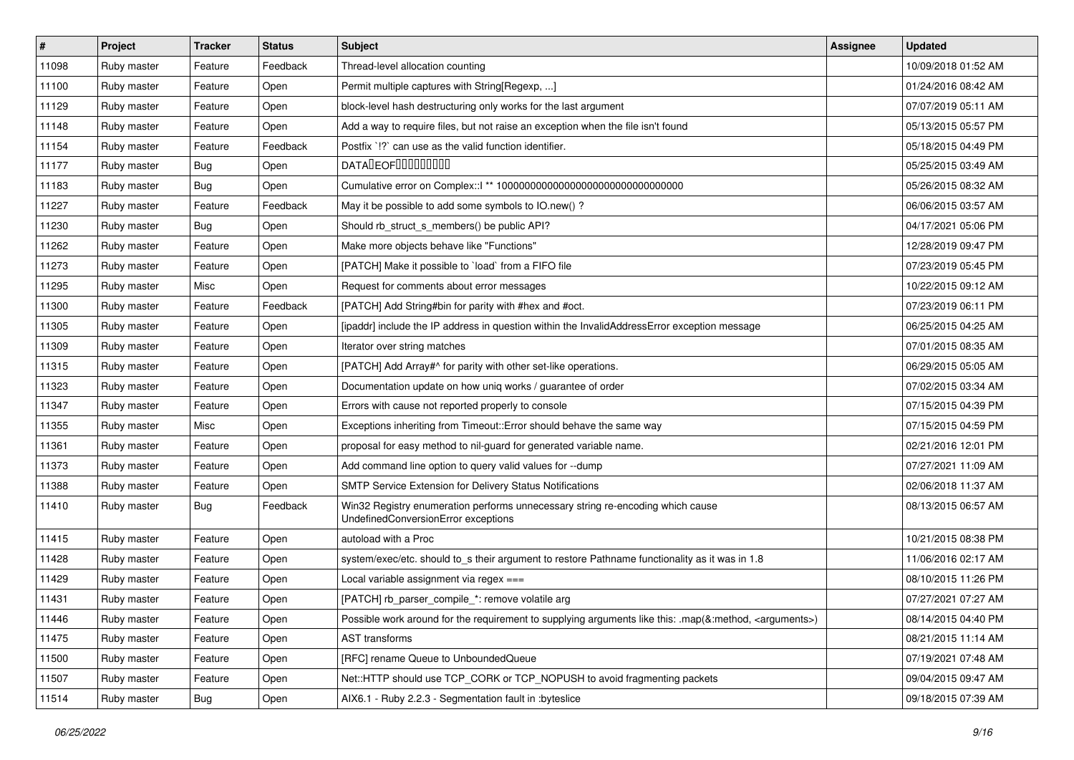| #     | Project     | <b>Tracker</b> | <b>Status</b> | <b>Subject</b>                                                                                                        | Assignee | <b>Updated</b>      |
|-------|-------------|----------------|---------------|-----------------------------------------------------------------------------------------------------------------------|----------|---------------------|
| 11098 | Ruby master | Feature        | Feedback      | Thread-level allocation counting                                                                                      |          | 10/09/2018 01:52 AM |
| 11100 | Ruby master | Feature        | Open          | Permit multiple captures with String[Regexp, ]                                                                        |          | 01/24/2016 08:42 AM |
| 11129 | Ruby master | Feature        | Open          | block-level hash destructuring only works for the last argument                                                       |          | 07/07/2019 05:11 AM |
| 11148 | Ruby master | Feature        | Open          | Add a way to require files, but not raise an exception when the file isn't found                                      |          | 05/13/2015 05:57 PM |
| 11154 | Ruby master | Feature        | Feedback      | Postfix '!?' can use as the valid function identifier.                                                                |          | 05/18/2015 04:49 PM |
| 11177 | Ruby master | <b>Bug</b>     | Open          | <b>DATALEOFILILILILILI</b>                                                                                            |          | 05/25/2015 03:49 AM |
| 11183 | Ruby master | <b>Bug</b>     | Open          |                                                                                                                       |          | 05/26/2015 08:32 AM |
| 11227 | Ruby master | Feature        | Feedback      | May it be possible to add some symbols to IO.new()?                                                                   |          | 06/06/2015 03:57 AM |
| 11230 | Ruby master | Bug            | Open          | Should rb_struct_s_members() be public API?                                                                           |          | 04/17/2021 05:06 PM |
| 11262 | Ruby master | Feature        | Open          | Make more objects behave like "Functions"                                                                             |          | 12/28/2019 09:47 PM |
| 11273 | Ruby master | Feature        | Open          | [PATCH] Make it possible to `load` from a FIFO file                                                                   |          | 07/23/2019 05:45 PM |
| 11295 | Ruby master | Misc           | Open          | Request for comments about error messages                                                                             |          | 10/22/2015 09:12 AM |
| 11300 | Ruby master | Feature        | Feedback      | [PATCH] Add String#bin for parity with #hex and #oct.                                                                 |          | 07/23/2019 06:11 PM |
| 11305 | Ruby master | Feature        | Open          | [ipaddr] include the IP address in question within the InvalidAddressError exception message                          |          | 06/25/2015 04:25 AM |
| 11309 | Ruby master | Feature        | Open          | Iterator over string matches                                                                                          |          | 07/01/2015 08:35 AM |
| 11315 | Ruby master | Feature        | Open          | [PATCH] Add Array#^ for parity with other set-like operations.                                                        |          | 06/29/2015 05:05 AM |
| 11323 | Ruby master | Feature        | Open          | Documentation update on how uniq works / guarantee of order                                                           |          | 07/02/2015 03:34 AM |
| 11347 | Ruby master | Feature        | Open          | Errors with cause not reported properly to console                                                                    |          | 07/15/2015 04:39 PM |
| 11355 | Ruby master | Misc           | Open          | Exceptions inheriting from Timeout:: Error should behave the same way                                                 |          | 07/15/2015 04:59 PM |
| 11361 | Ruby master | Feature        | Open          | proposal for easy method to nil-guard for generated variable name.                                                    |          | 02/21/2016 12:01 PM |
| 11373 | Ruby master | Feature        | Open          | Add command line option to query valid values for --dump                                                              |          | 07/27/2021 11:09 AM |
| 11388 | Ruby master | Feature        | Open          | <b>SMTP Service Extension for Delivery Status Notifications</b>                                                       |          | 02/06/2018 11:37 AM |
| 11410 | Ruby master | <b>Bug</b>     | Feedback      | Win32 Registry enumeration performs unnecessary string re-encoding which cause<br>UndefinedConversionError exceptions |          | 08/13/2015 06:57 AM |
| 11415 | Ruby master | Feature        | Open          | autoload with a Proc                                                                                                  |          | 10/21/2015 08:38 PM |
| 11428 | Ruby master | Feature        | Open          | system/exec/etc. should to_s their argument to restore Pathname functionality as it was in 1.8                        |          | 11/06/2016 02:17 AM |
| 11429 | Ruby master | Feature        | Open          | Local variable assignment via regex ===                                                                               |          | 08/10/2015 11:26 PM |
| 11431 | Ruby master | Feature        | Open          | [PATCH] rb_parser_compile_*: remove volatile arg                                                                      |          | 07/27/2021 07:27 AM |
| 11446 | Ruby master | Feature        | Open          | Possible work around for the requirement to supplying arguments like this: .map(&:method, <arguments>)</arguments>    |          | 08/14/2015 04:40 PM |
| 11475 | Ruby master | Feature        | Open          | <b>AST</b> transforms                                                                                                 |          | 08/21/2015 11:14 AM |
| 11500 | Ruby master | Feature        | Open          | [RFC] rename Queue to UnboundedQueue                                                                                  |          | 07/19/2021 07:48 AM |
| 11507 | Ruby master | Feature        | Open          | Net::HTTP should use TCP_CORK or TCP_NOPUSH to avoid fragmenting packets                                              |          | 09/04/2015 09:47 AM |
| 11514 | Ruby master | j Bug          | Open          | AIX6.1 - Ruby 2.2.3 - Segmentation fault in :byteslice                                                                |          | 09/18/2015 07:39 AM |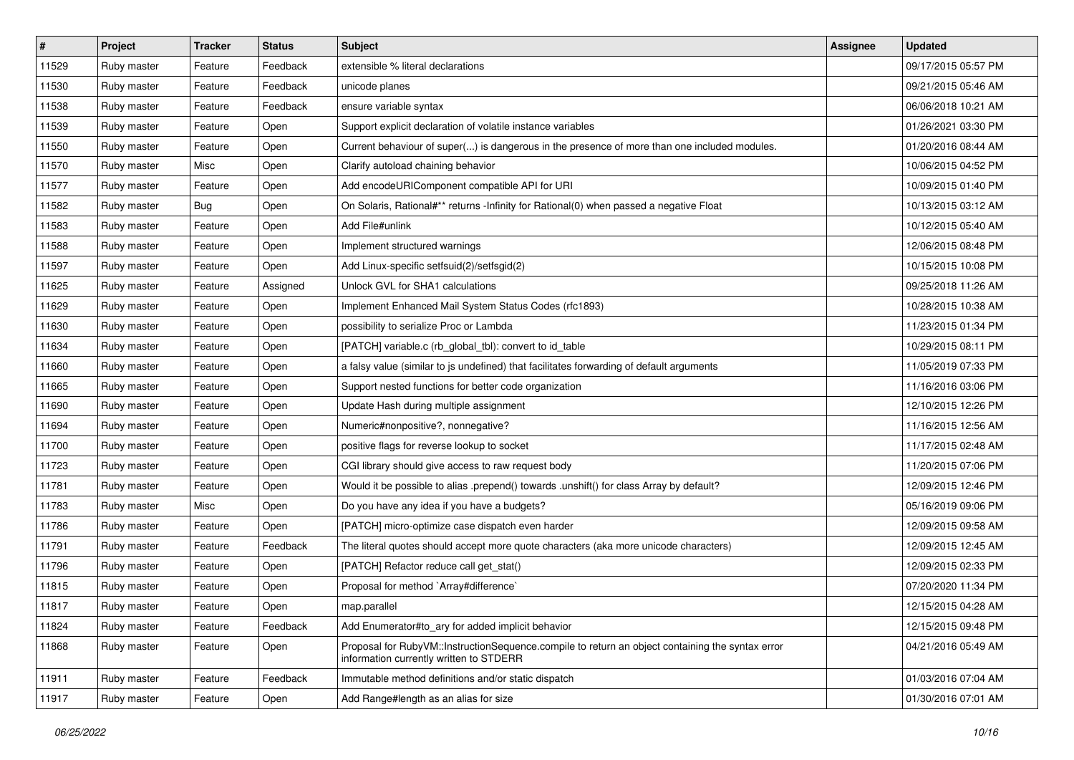| $\vert$ # | Project     | <b>Tracker</b> | <b>Status</b> | <b>Subject</b>                                                                                                                              | <b>Assignee</b> | <b>Updated</b>      |
|-----------|-------------|----------------|---------------|---------------------------------------------------------------------------------------------------------------------------------------------|-----------------|---------------------|
| 11529     | Ruby master | Feature        | Feedback      | extensible % literal declarations                                                                                                           |                 | 09/17/2015 05:57 PM |
| 11530     | Ruby master | Feature        | Feedback      | unicode planes                                                                                                                              |                 | 09/21/2015 05:46 AM |
| 11538     | Ruby master | Feature        | Feedback      | ensure variable syntax                                                                                                                      |                 | 06/06/2018 10:21 AM |
| 11539     | Ruby master | Feature        | Open          | Support explicit declaration of volatile instance variables                                                                                 |                 | 01/26/2021 03:30 PM |
| 11550     | Ruby master | Feature        | Open          | Current behaviour of super() is dangerous in the presence of more than one included modules.                                                |                 | 01/20/2016 08:44 AM |
| 11570     | Ruby master | Misc           | Open          | Clarify autoload chaining behavior                                                                                                          |                 | 10/06/2015 04:52 PM |
| 11577     | Ruby master | Feature        | Open          | Add encodeURIComponent compatible API for URI                                                                                               |                 | 10/09/2015 01:40 PM |
| 11582     | Ruby master | <b>Bug</b>     | Open          | On Solaris, Rational#** returns -Infinity for Rational(0) when passed a negative Float                                                      |                 | 10/13/2015 03:12 AM |
| 11583     | Ruby master | Feature        | Open          | Add File#unlink                                                                                                                             |                 | 10/12/2015 05:40 AM |
| 11588     | Ruby master | Feature        | Open          | Implement structured warnings                                                                                                               |                 | 12/06/2015 08:48 PM |
| 11597     | Ruby master | Feature        | Open          | Add Linux-specific setfsuid(2)/setfsgid(2)                                                                                                  |                 | 10/15/2015 10:08 PM |
| 11625     | Ruby master | Feature        | Assigned      | Unlock GVL for SHA1 calculations                                                                                                            |                 | 09/25/2018 11:26 AM |
| 11629     | Ruby master | Feature        | Open          | Implement Enhanced Mail System Status Codes (rfc1893)                                                                                       |                 | 10/28/2015 10:38 AM |
| 11630     | Ruby master | Feature        | Open          | possibility to serialize Proc or Lambda                                                                                                     |                 | 11/23/2015 01:34 PM |
| 11634     | Ruby master | Feature        | Open          | [PATCH] variable.c (rb_global_tbl): convert to id_table                                                                                     |                 | 10/29/2015 08:11 PM |
| 11660     | Ruby master | Feature        | Open          | a falsy value (similar to js undefined) that facilitates forwarding of default arguments                                                    |                 | 11/05/2019 07:33 PM |
| 11665     | Ruby master | Feature        | Open          | Support nested functions for better code organization                                                                                       |                 | 11/16/2016 03:06 PM |
| 11690     | Ruby master | Feature        | Open          | Update Hash during multiple assignment                                                                                                      |                 | 12/10/2015 12:26 PM |
| 11694     | Ruby master | Feature        | Open          | Numeric#nonpositive?, nonnegative?                                                                                                          |                 | 11/16/2015 12:56 AM |
| 11700     | Ruby master | Feature        | Open          | positive flags for reverse lookup to socket                                                                                                 |                 | 11/17/2015 02:48 AM |
| 11723     | Ruby master | Feature        | Open          | CGI library should give access to raw request body                                                                                          |                 | 11/20/2015 07:06 PM |
| 11781     | Ruby master | Feature        | Open          | Would it be possible to alias .prepend() towards .unshift() for class Array by default?                                                     |                 | 12/09/2015 12:46 PM |
| 11783     | Ruby master | Misc           | Open          | Do you have any idea if you have a budgets?                                                                                                 |                 | 05/16/2019 09:06 PM |
| 11786     | Ruby master | Feature        | Open          | [PATCH] micro-optimize case dispatch even harder                                                                                            |                 | 12/09/2015 09:58 AM |
| 11791     | Ruby master | Feature        | Feedback      | The literal quotes should accept more quote characters (aka more unicode characters)                                                        |                 | 12/09/2015 12:45 AM |
| 11796     | Ruby master | Feature        | Open          | [PATCH] Refactor reduce call get_stat()                                                                                                     |                 | 12/09/2015 02:33 PM |
| 11815     | Ruby master | Feature        | Open          | Proposal for method `Array#difference`                                                                                                      |                 | 07/20/2020 11:34 PM |
| 11817     | Ruby master | Feature        | Open          | map.parallel                                                                                                                                |                 | 12/15/2015 04:28 AM |
| 11824     | Ruby master | Feature        | Feedback      | Add Enumerator#to ary for added implicit behavior                                                                                           |                 | 12/15/2015 09:48 PM |
| 11868     | Ruby master | Feature        | Open          | Proposal for RubyVM::InstructionSequence.compile to return an object containing the syntax error<br>information currently written to STDERR |                 | 04/21/2016 05:49 AM |
| 11911     | Ruby master | Feature        | Feedback      | Immutable method definitions and/or static dispatch                                                                                         |                 | 01/03/2016 07:04 AM |
| 11917     | Ruby master | Feature        | Open          | Add Range#length as an alias for size                                                                                                       |                 | 01/30/2016 07:01 AM |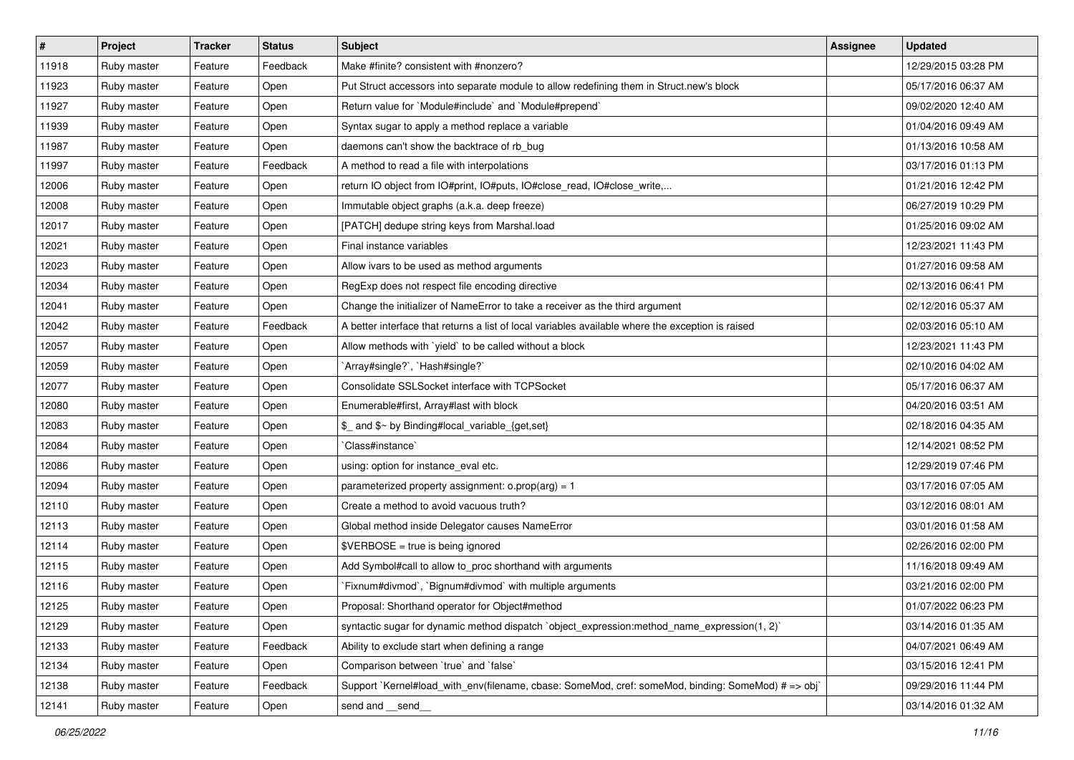| #     | Project     | <b>Tracker</b> | <b>Status</b> | Subject                                                                                            | <b>Assignee</b> | <b>Updated</b>      |
|-------|-------------|----------------|---------------|----------------------------------------------------------------------------------------------------|-----------------|---------------------|
| 11918 | Ruby master | Feature        | Feedback      | Make #finite? consistent with #nonzero?                                                            |                 | 12/29/2015 03:28 PM |
| 11923 | Ruby master | Feature        | Open          | Put Struct accessors into separate module to allow redefining them in Struct.new's block           |                 | 05/17/2016 06:37 AM |
| 11927 | Ruby master | Feature        | Open          | Return value for `Module#include` and `Module#prepend`                                             |                 | 09/02/2020 12:40 AM |
| 11939 | Ruby master | Feature        | Open          | Syntax sugar to apply a method replace a variable                                                  |                 | 01/04/2016 09:49 AM |
| 11987 | Ruby master | Feature        | Open          | daemons can't show the backtrace of rb_bug                                                         |                 | 01/13/2016 10:58 AM |
| 11997 | Ruby master | Feature        | Feedback      | A method to read a file with interpolations                                                        |                 | 03/17/2016 01:13 PM |
| 12006 | Ruby master | Feature        | Open          | return IO object from IO#print, IO#puts, IO#close_read, IO#close_write,                            |                 | 01/21/2016 12:42 PM |
| 12008 | Ruby master | Feature        | Open          | Immutable object graphs (a.k.a. deep freeze)                                                       |                 | 06/27/2019 10:29 PM |
| 12017 | Ruby master | Feature        | Open          | [PATCH] dedupe string keys from Marshal.load                                                       |                 | 01/25/2016 09:02 AM |
| 12021 | Ruby master | Feature        | Open          | Final instance variables                                                                           |                 | 12/23/2021 11:43 PM |
| 12023 | Ruby master | Feature        | Open          | Allow ivars to be used as method arguments                                                         |                 | 01/27/2016 09:58 AM |
| 12034 | Ruby master | Feature        | Open          | RegExp does not respect file encoding directive                                                    |                 | 02/13/2016 06:41 PM |
| 12041 | Ruby master | Feature        | Open          | Change the initializer of NameError to take a receiver as the third argument                       |                 | 02/12/2016 05:37 AM |
| 12042 | Ruby master | Feature        | Feedback      | A better interface that returns a list of local variables available where the exception is raised  |                 | 02/03/2016 05:10 AM |
| 12057 | Ruby master | Feature        | Open          | Allow methods with 'yield' to be called without a block                                            |                 | 12/23/2021 11:43 PM |
| 12059 | Ruby master | Feature        | Open          | 'Array#single?', 'Hash#single?'                                                                    |                 | 02/10/2016 04:02 AM |
| 12077 | Ruby master | Feature        | Open          | Consolidate SSLSocket interface with TCPSocket                                                     |                 | 05/17/2016 06:37 AM |
| 12080 | Ruby master | Feature        | Open          | Enumerable#first, Array#last with block                                                            |                 | 04/20/2016 03:51 AM |
| 12083 | Ruby master | Feature        | Open          | \$ and \$~ by Binding#local_variable_{get,set}                                                     |                 | 02/18/2016 04:35 AM |
| 12084 | Ruby master | Feature        | Open          | 'Class#instance'                                                                                   |                 | 12/14/2021 08:52 PM |
| 12086 | Ruby master | Feature        | Open          | using: option for instance_eval etc.                                                               |                 | 12/29/2019 07:46 PM |
| 12094 | Ruby master | Feature        | Open          | parameterized property assignment: $o.prop(arg) = 1$                                               |                 | 03/17/2016 07:05 AM |
| 12110 | Ruby master | Feature        | Open          | Create a method to avoid vacuous truth?                                                            |                 | 03/12/2016 08:01 AM |
| 12113 | Ruby master | Feature        | Open          | Global method inside Delegator causes NameError                                                    |                 | 03/01/2016 01:58 AM |
| 12114 | Ruby master | Feature        | Open          | \$VERBOSE = true is being ignored                                                                  |                 | 02/26/2016 02:00 PM |
| 12115 | Ruby master | Feature        | Open          | Add Symbol#call to allow to_proc shorthand with arguments                                          |                 | 11/16/2018 09:49 AM |
| 12116 | Ruby master | Feature        | Open          | Fixnum#divmod`, `Bignum#divmod` with multiple arguments                                            |                 | 03/21/2016 02:00 PM |
| 12125 | Ruby master | Feature        | Open          | Proposal: Shorthand operator for Object#method                                                     |                 | 01/07/2022 06:23 PM |
| 12129 | Ruby master | Feature        | Open          | syntactic sugar for dynamic method dispatch `object expression: method name expression(1, 2)`      |                 | 03/14/2016 01:35 AM |
| 12133 | Ruby master | Feature        | Feedback      | Ability to exclude start when defining a range                                                     |                 | 04/07/2021 06:49 AM |
| 12134 | Ruby master | Feature        | Open          | Comparison between 'true' and 'false'                                                              |                 | 03/15/2016 12:41 PM |
| 12138 | Ruby master | Feature        | Feedback      | Support `Kernel#load_with_env(filename, cbase: SomeMod, cref: someMod, binding: SomeMod) # => obj` |                 | 09/29/2016 11:44 PM |
| 12141 | Ruby master | Feature        | Open          | send and __send__                                                                                  |                 | 03/14/2016 01:32 AM |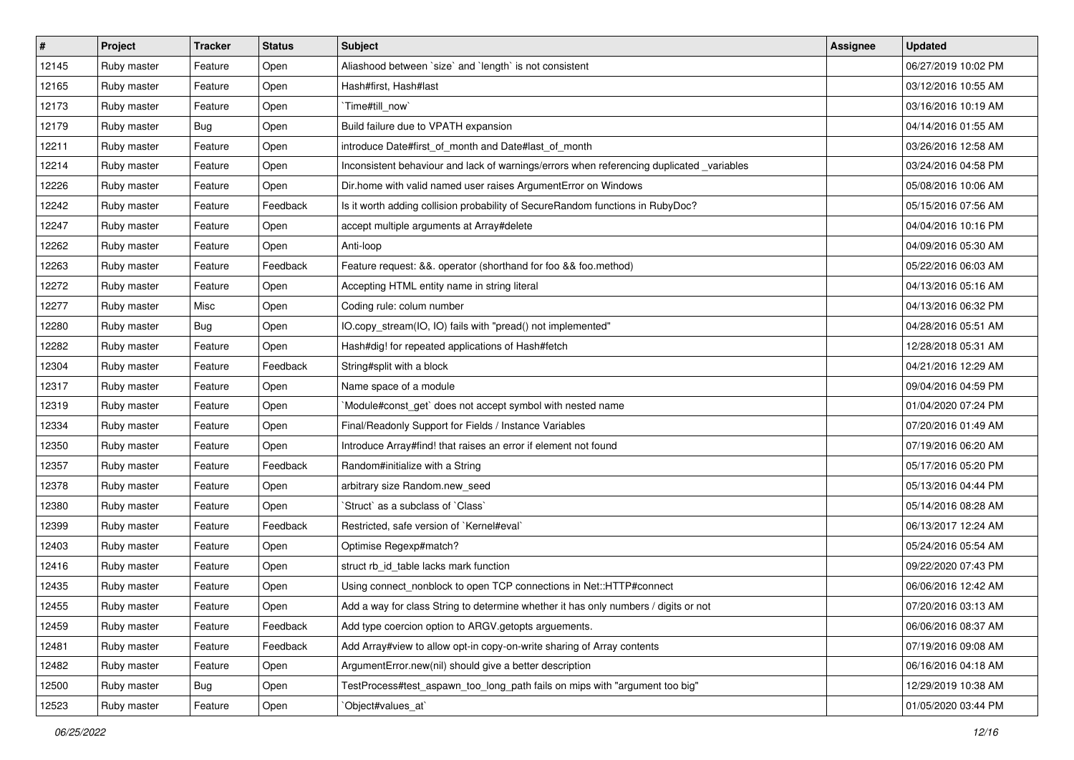| #     | Project     | <b>Tracker</b> | <b>Status</b> | <b>Subject</b>                                                                            | <b>Assignee</b> | <b>Updated</b>      |
|-------|-------------|----------------|---------------|-------------------------------------------------------------------------------------------|-----------------|---------------------|
| 12145 | Ruby master | Feature        | Open          | Aliashood between `size` and `length` is not consistent                                   |                 | 06/27/2019 10:02 PM |
| 12165 | Ruby master | Feature        | Open          | Hash#first, Hash#last                                                                     |                 | 03/12/2016 10:55 AM |
| 12173 | Ruby master | Feature        | Open          | `Time#till_now`                                                                           |                 | 03/16/2016 10:19 AM |
| 12179 | Ruby master | Bug            | Open          | Build failure due to VPATH expansion                                                      |                 | 04/14/2016 01:55 AM |
| 12211 | Ruby master | Feature        | Open          | introduce Date#first_of_month and Date#last_of_month                                      |                 | 03/26/2016 12:58 AM |
| 12214 | Ruby master | Feature        | Open          | Inconsistent behaviour and lack of warnings/errors when referencing duplicated _variables |                 | 03/24/2016 04:58 PM |
| 12226 | Ruby master | Feature        | Open          | Dir.home with valid named user raises ArgumentError on Windows                            |                 | 05/08/2016 10:06 AM |
| 12242 | Ruby master | Feature        | Feedback      | Is it worth adding collision probability of SecureRandom functions in RubyDoc?            |                 | 05/15/2016 07:56 AM |
| 12247 | Ruby master | Feature        | Open          | accept multiple arguments at Array#delete                                                 |                 | 04/04/2016 10:16 PM |
| 12262 | Ruby master | Feature        | Open          | Anti-loop                                                                                 |                 | 04/09/2016 05:30 AM |
| 12263 | Ruby master | Feature        | Feedback      | Feature request: &&. operator (shorthand for foo && foo.method)                           |                 | 05/22/2016 06:03 AM |
| 12272 | Ruby master | Feature        | Open          | Accepting HTML entity name in string literal                                              |                 | 04/13/2016 05:16 AM |
| 12277 | Ruby master | Misc           | Open          | Coding rule: colum number                                                                 |                 | 04/13/2016 06:32 PM |
| 12280 | Ruby master | <b>Bug</b>     | Open          | IO.copy_stream(IO, IO) fails with "pread() not implemented"                               |                 | 04/28/2016 05:51 AM |
| 12282 | Ruby master | Feature        | Open          | Hash#dig! for repeated applications of Hash#fetch                                         |                 | 12/28/2018 05:31 AM |
| 12304 | Ruby master | Feature        | Feedback      | String#split with a block                                                                 |                 | 04/21/2016 12:29 AM |
| 12317 | Ruby master | Feature        | Open          | Name space of a module                                                                    |                 | 09/04/2016 04:59 PM |
| 12319 | Ruby master | Feature        | Open          | Module#const_get` does not accept symbol with nested name                                 |                 | 01/04/2020 07:24 PM |
| 12334 | Ruby master | Feature        | Open          | Final/Readonly Support for Fields / Instance Variables                                    |                 | 07/20/2016 01:49 AM |
| 12350 | Ruby master | Feature        | Open          | Introduce Array#find! that raises an error if element not found                           |                 | 07/19/2016 06:20 AM |
| 12357 | Ruby master | Feature        | Feedback      | Random#initialize with a String                                                           |                 | 05/17/2016 05:20 PM |
| 12378 | Ruby master | Feature        | Open          | arbitrary size Random.new_seed                                                            |                 | 05/13/2016 04:44 PM |
| 12380 | Ruby master | Feature        | Open          | 'Struct' as a subclass of 'Class'                                                         |                 | 05/14/2016 08:28 AM |
| 12399 | Ruby master | Feature        | Feedback      | Restricted, safe version of `Kernel#eval`                                                 |                 | 06/13/2017 12:24 AM |
| 12403 | Ruby master | Feature        | Open          | Optimise Regexp#match?                                                                    |                 | 05/24/2016 05:54 AM |
| 12416 | Ruby master | Feature        | Open          | struct rb_id_table lacks mark function                                                    |                 | 09/22/2020 07:43 PM |
| 12435 | Ruby master | Feature        | Open          | Using connect_nonblock to open TCP connections in Net::HTTP#connect                       |                 | 06/06/2016 12:42 AM |
| 12455 | Ruby master | Feature        | Open          | Add a way for class String to determine whether it has only numbers / digits or not       |                 | 07/20/2016 03:13 AM |
| 12459 | Ruby master | Feature        | Feedback      | Add type coercion option to ARGV getopts arguements.                                      |                 | 06/06/2016 08:37 AM |
| 12481 | Ruby master | Feature        | Feedback      | Add Array#view to allow opt-in copy-on-write sharing of Array contents                    |                 | 07/19/2016 09:08 AM |
| 12482 | Ruby master | Feature        | Open          | ArgumentError.new(nil) should give a better description                                   |                 | 06/16/2016 04:18 AM |
| 12500 | Ruby master | <b>Bug</b>     | Open          | TestProcess#test_aspawn_too_long_path fails on mips with "argument too big"               |                 | 12/29/2019 10:38 AM |
| 12523 | Ruby master | Feature        | Open          | `Object#values_at`                                                                        |                 | 01/05/2020 03:44 PM |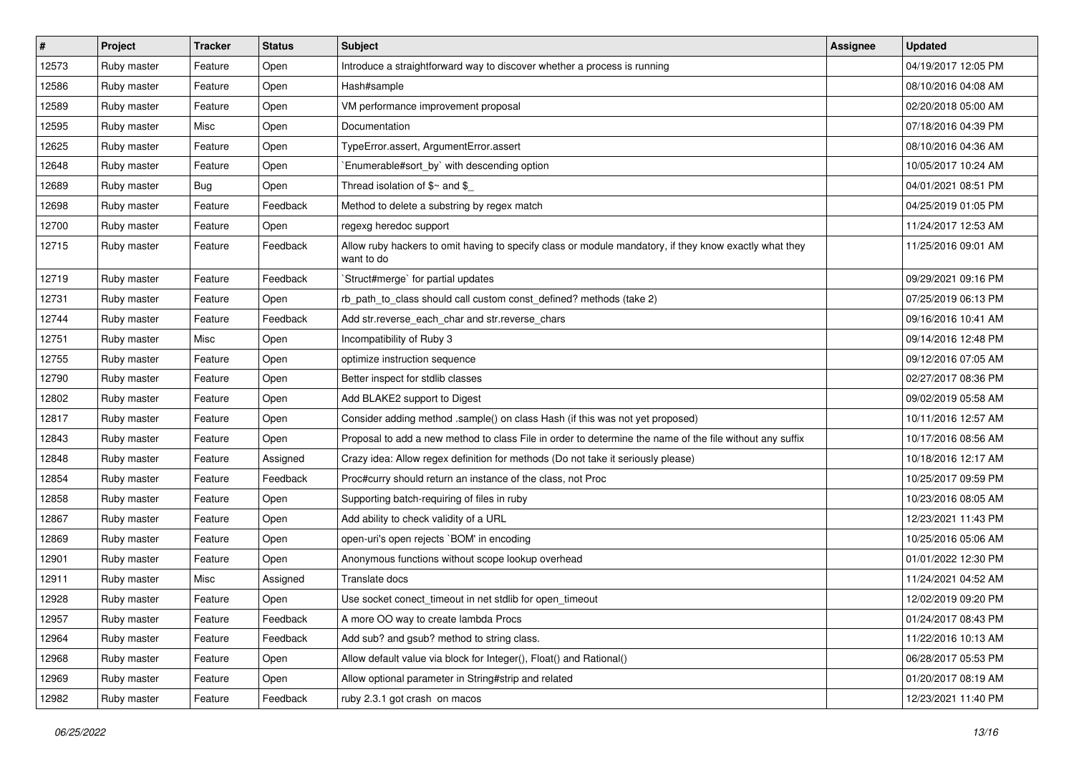| $\sharp$ | Project     | <b>Tracker</b> | <b>Status</b> | <b>Subject</b>                                                                                                       | <b>Assignee</b> | <b>Updated</b>      |
|----------|-------------|----------------|---------------|----------------------------------------------------------------------------------------------------------------------|-----------------|---------------------|
| 12573    | Ruby master | Feature        | Open          | Introduce a straightforward way to discover whether a process is running                                             |                 | 04/19/2017 12:05 PM |
| 12586    | Ruby master | Feature        | Open          | Hash#sample                                                                                                          |                 | 08/10/2016 04:08 AM |
| 12589    | Ruby master | Feature        | Open          | VM performance improvement proposal                                                                                  |                 | 02/20/2018 05:00 AM |
| 12595    | Ruby master | Misc           | Open          | Documentation                                                                                                        |                 | 07/18/2016 04:39 PM |
| 12625    | Ruby master | Feature        | Open          | TypeError.assert, ArgumentError.assert                                                                               |                 | 08/10/2016 04:36 AM |
| 12648    | Ruby master | Feature        | Open          | Enumerable#sort_by` with descending option                                                                           |                 | 10/05/2017 10:24 AM |
| 12689    | Ruby master | <b>Bug</b>     | Open          | Thread isolation of $$~$ and $$$                                                                                     |                 | 04/01/2021 08:51 PM |
| 12698    | Ruby master | Feature        | Feedback      | Method to delete a substring by regex match                                                                          |                 | 04/25/2019 01:05 PM |
| 12700    | Ruby master | Feature        | Open          | regexg heredoc support                                                                                               |                 | 11/24/2017 12:53 AM |
| 12715    | Ruby master | Feature        | Feedback      | Allow ruby hackers to omit having to specify class or module mandatory, if they know exactly what they<br>want to do |                 | 11/25/2016 09:01 AM |
| 12719    | Ruby master | Feature        | Feedback      | 'Struct#merge' for partial updates                                                                                   |                 | 09/29/2021 09:16 PM |
| 12731    | Ruby master | Feature        | Open          | rb_path_to_class should call custom const_defined? methods (take 2)                                                  |                 | 07/25/2019 06:13 PM |
| 12744    | Ruby master | Feature        | Feedback      | Add str.reverse_each_char and str.reverse_chars                                                                      |                 | 09/16/2016 10:41 AM |
| 12751    | Ruby master | Misc           | Open          | Incompatibility of Ruby 3                                                                                            |                 | 09/14/2016 12:48 PM |
| 12755    | Ruby master | Feature        | Open          | optimize instruction sequence                                                                                        |                 | 09/12/2016 07:05 AM |
| 12790    | Ruby master | Feature        | Open          | Better inspect for stdlib classes                                                                                    |                 | 02/27/2017 08:36 PM |
| 12802    | Ruby master | Feature        | Open          | Add BLAKE2 support to Digest                                                                                         |                 | 09/02/2019 05:58 AM |
| 12817    | Ruby master | Feature        | Open          | Consider adding method .sample() on class Hash (if this was not yet proposed)                                        |                 | 10/11/2016 12:57 AM |
| 12843    | Ruby master | Feature        | Open          | Proposal to add a new method to class File in order to determine the name of the file without any suffix             |                 | 10/17/2016 08:56 AM |
| 12848    | Ruby master | Feature        | Assigned      | Crazy idea: Allow regex definition for methods (Do not take it seriously please)                                     |                 | 10/18/2016 12:17 AM |
| 12854    | Ruby master | Feature        | Feedback      | Proc#curry should return an instance of the class, not Proc                                                          |                 | 10/25/2017 09:59 PM |
| 12858    | Ruby master | Feature        | Open          | Supporting batch-requiring of files in ruby                                                                          |                 | 10/23/2016 08:05 AM |
| 12867    | Ruby master | Feature        | Open          | Add ability to check validity of a URL                                                                               |                 | 12/23/2021 11:43 PM |
| 12869    | Ruby master | Feature        | Open          | open-uri's open rejects `BOM' in encoding                                                                            |                 | 10/25/2016 05:06 AM |
| 12901    | Ruby master | Feature        | Open          | Anonymous functions without scope lookup overhead                                                                    |                 | 01/01/2022 12:30 PM |
| 12911    | Ruby master | Misc           | Assigned      | Translate docs                                                                                                       |                 | 11/24/2021 04:52 AM |
| 12928    | Ruby master | Feature        | Open          | Use socket conect timeout in net stdlib for open timeout                                                             |                 | 12/02/2019 09:20 PM |
| 12957    | Ruby master | Feature        | Feedback      | A more OO way to create lambda Procs                                                                                 |                 | 01/24/2017 08:43 PM |
| 12964    | Ruby master | Feature        | Feedback      | Add sub? and gsub? method to string class.                                                                           |                 | 11/22/2016 10:13 AM |
| 12968    | Ruby master | Feature        | Open          | Allow default value via block for Integer(), Float() and Rational()                                                  |                 | 06/28/2017 05:53 PM |
| 12969    | Ruby master | Feature        | Open          | Allow optional parameter in String#strip and related                                                                 |                 | 01/20/2017 08:19 AM |
| 12982    | Ruby master | Feature        | Feedback      | ruby 2.3.1 got crash on macos                                                                                        |                 | 12/23/2021 11:40 PM |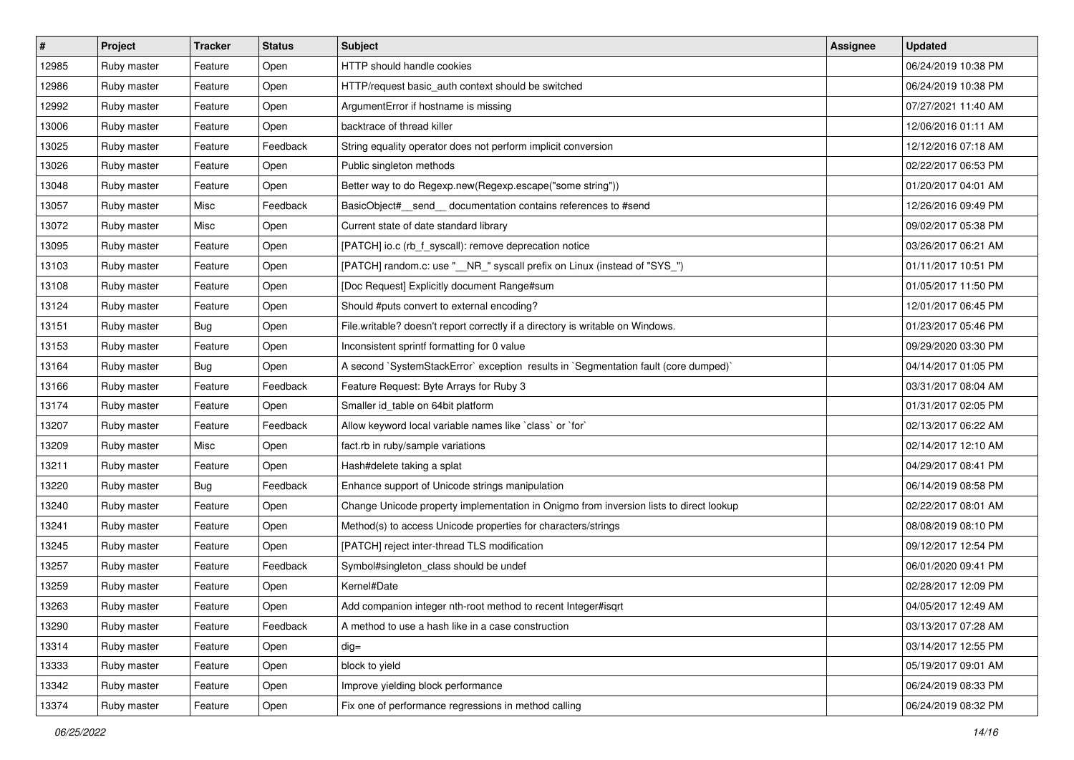| $\vert$ # | <b>Project</b> | <b>Tracker</b> | <b>Status</b> | <b>Subject</b>                                                                         | Assignee | <b>Updated</b>      |
|-----------|----------------|----------------|---------------|----------------------------------------------------------------------------------------|----------|---------------------|
| 12985     | Ruby master    | Feature        | Open          | HTTP should handle cookies                                                             |          | 06/24/2019 10:38 PM |
| 12986     | Ruby master    | Feature        | Open          | HTTP/request basic_auth context should be switched                                     |          | 06/24/2019 10:38 PM |
| 12992     | Ruby master    | Feature        | Open          | ArgumentError if hostname is missing                                                   |          | 07/27/2021 11:40 AM |
| 13006     | Ruby master    | Feature        | Open          | backtrace of thread killer                                                             |          | 12/06/2016 01:11 AM |
| 13025     | Ruby master    | Feature        | Feedback      | String equality operator does not perform implicit conversion                          |          | 12/12/2016 07:18 AM |
| 13026     | Ruby master    | Feature        | Open          | Public singleton methods                                                               |          | 02/22/2017 06:53 PM |
| 13048     | Ruby master    | Feature        | Open          | Better way to do Regexp.new(Regexp.escape("some string"))                              |          | 01/20/2017 04:01 AM |
| 13057     | Ruby master    | Misc           | Feedback      | BasicObject#_send_ documentation contains references to #send                          |          | 12/26/2016 09:49 PM |
| 13072     | Ruby master    | Misc           | Open          | Current state of date standard library                                                 |          | 09/02/2017 05:38 PM |
| 13095     | Ruby master    | Feature        | Open          | [PATCH] io.c (rb_f_syscall): remove deprecation notice                                 |          | 03/26/2017 06:21 AM |
| 13103     | Ruby master    | Feature        | Open          | [PATCH] random.c: use "__NR_" syscall prefix on Linux (instead of "SYS_")              |          | 01/11/2017 10:51 PM |
| 13108     | Ruby master    | Feature        | Open          | [Doc Request] Explicitly document Range#sum                                            |          | 01/05/2017 11:50 PM |
| 13124     | Ruby master    | Feature        | Open          | Should #puts convert to external encoding?                                             |          | 12/01/2017 06:45 PM |
| 13151     | Ruby master    | <b>Bug</b>     | Open          | File.writable? doesn't report correctly if a directory is writable on Windows.         |          | 01/23/2017 05:46 PM |
| 13153     | Ruby master    | Feature        | Open          | Inconsistent sprintf formatting for 0 value                                            |          | 09/29/2020 03:30 PM |
| 13164     | Ruby master    | <b>Bug</b>     | Open          | A second `SystemStackError` exception results in `Segmentation fault (core dumped)`    |          | 04/14/2017 01:05 PM |
| 13166     | Ruby master    | Feature        | Feedback      | Feature Request: Byte Arrays for Ruby 3                                                |          | 03/31/2017 08:04 AM |
| 13174     | Ruby master    | Feature        | Open          | Smaller id_table on 64bit platform                                                     |          | 01/31/2017 02:05 PM |
| 13207     | Ruby master    | Feature        | Feedback      | Allow keyword local variable names like `class` or `for`                               |          | 02/13/2017 06:22 AM |
| 13209     | Ruby master    | Misc           | Open          | fact.rb in ruby/sample variations                                                      |          | 02/14/2017 12:10 AM |
| 13211     | Ruby master    | Feature        | Open          | Hash#delete taking a splat                                                             |          | 04/29/2017 08:41 PM |
| 13220     | Ruby master    | Bug            | Feedback      | Enhance support of Unicode strings manipulation                                        |          | 06/14/2019 08:58 PM |
| 13240     | Ruby master    | Feature        | Open          | Change Unicode property implementation in Onigmo from inversion lists to direct lookup |          | 02/22/2017 08:01 AM |
| 13241     | Ruby master    | Feature        | Open          | Method(s) to access Unicode properties for characters/strings                          |          | 08/08/2019 08:10 PM |
| 13245     | Ruby master    | Feature        | Open          | [PATCH] reject inter-thread TLS modification                                           |          | 09/12/2017 12:54 PM |
| 13257     | Ruby master    | Feature        | Feedback      | Symbol#singleton_class should be undef                                                 |          | 06/01/2020 09:41 PM |
| 13259     | Ruby master    | Feature        | Open          | Kernel#Date                                                                            |          | 02/28/2017 12:09 PM |
| 13263     | Ruby master    | Feature        | Open          | Add companion integer nth-root method to recent Integer#isqrt                          |          | 04/05/2017 12:49 AM |
| 13290     | Ruby master    | Feature        | Feedback      | A method to use a hash like in a case construction                                     |          | 03/13/2017 07:28 AM |
| 13314     | Ruby master    | Feature        | Open          | dig=                                                                                   |          | 03/14/2017 12:55 PM |
| 13333     | Ruby master    | Feature        | Open          | block to yield                                                                         |          | 05/19/2017 09:01 AM |
| 13342     | Ruby master    | Feature        | Open          | Improve yielding block performance                                                     |          | 06/24/2019 08:33 PM |
| 13374     | Ruby master    | Feature        | Open          | Fix one of performance regressions in method calling                                   |          | 06/24/2019 08:32 PM |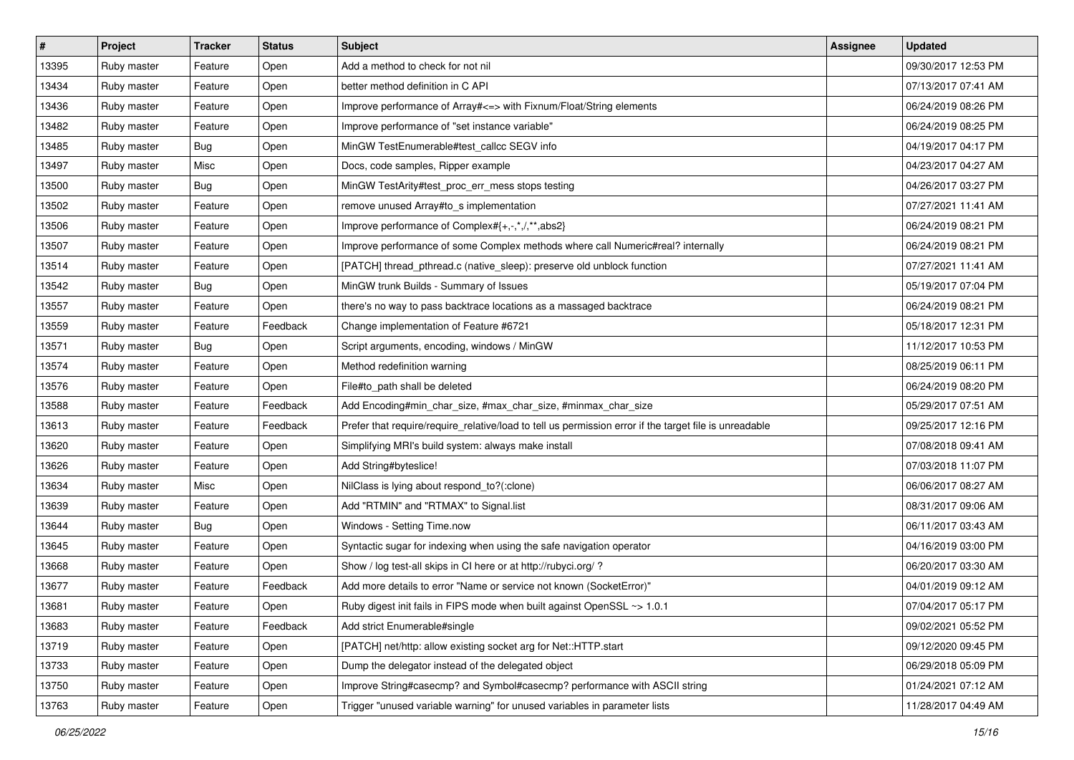| $\vert$ # | <b>Project</b> | <b>Tracker</b> | <b>Status</b> | <b>Subject</b>                                                                                         | Assignee | <b>Updated</b>      |
|-----------|----------------|----------------|---------------|--------------------------------------------------------------------------------------------------------|----------|---------------------|
| 13395     | Ruby master    | Feature        | Open          | Add a method to check for not nil                                                                      |          | 09/30/2017 12:53 PM |
| 13434     | Ruby master    | Feature        | Open          | better method definition in C API                                                                      |          | 07/13/2017 07:41 AM |
| 13436     | Ruby master    | Feature        | Open          | Improve performance of Array#<=> with Fixnum/Float/String elements                                     |          | 06/24/2019 08:26 PM |
| 13482     | Ruby master    | Feature        | Open          | Improve performance of "set instance variable"                                                         |          | 06/24/2019 08:25 PM |
| 13485     | Ruby master    | <b>Bug</b>     | Open          | MinGW TestEnumerable#test_callcc SEGV info                                                             |          | 04/19/2017 04:17 PM |
| 13497     | Ruby master    | Misc           | Open          | Docs, code samples, Ripper example                                                                     |          | 04/23/2017 04:27 AM |
| 13500     | Ruby master    | <b>Bug</b>     | Open          | MinGW TestArity#test_proc_err_mess stops testing                                                       |          | 04/26/2017 03:27 PM |
| 13502     | Ruby master    | Feature        | Open          | remove unused Array#to_s implementation                                                                |          | 07/27/2021 11:41 AM |
| 13506     | Ruby master    | Feature        | Open          | Improve performance of Complex#{+,-,*,/,**,abs2}                                                       |          | 06/24/2019 08:21 PM |
| 13507     | Ruby master    | Feature        | Open          | Improve performance of some Complex methods where call Numeric#real? internally                        |          | 06/24/2019 08:21 PM |
| 13514     | Ruby master    | Feature        | Open          | [PATCH] thread_pthread.c (native_sleep): preserve old unblock function                                 |          | 07/27/2021 11:41 AM |
| 13542     | Ruby master    | <b>Bug</b>     | Open          | MinGW trunk Builds - Summary of Issues                                                                 |          | 05/19/2017 07:04 PM |
| 13557     | Ruby master    | Feature        | Open          | there's no way to pass backtrace locations as a massaged backtrace                                     |          | 06/24/2019 08:21 PM |
| 13559     | Ruby master    | Feature        | Feedback      | Change implementation of Feature #6721                                                                 |          | 05/18/2017 12:31 PM |
| 13571     | Ruby master    | <b>Bug</b>     | Open          | Script arguments, encoding, windows / MinGW                                                            |          | 11/12/2017 10:53 PM |
| 13574     | Ruby master    | Feature        | Open          | Method redefinition warning                                                                            |          | 08/25/2019 06:11 PM |
| 13576     | Ruby master    | Feature        | Open          | File#to_path shall be deleted                                                                          |          | 06/24/2019 08:20 PM |
| 13588     | Ruby master    | Feature        | Feedback      | Add Encoding#min_char_size, #max_char_size, #minmax_char_size                                          |          | 05/29/2017 07:51 AM |
| 13613     | Ruby master    | Feature        | Feedback      | Prefer that require/require_relative/load to tell us permission error if the target file is unreadable |          | 09/25/2017 12:16 PM |
| 13620     | Ruby master    | Feature        | Open          | Simplifying MRI's build system: always make install                                                    |          | 07/08/2018 09:41 AM |
| 13626     | Ruby master    | Feature        | Open          | Add String#byteslice!                                                                                  |          | 07/03/2018 11:07 PM |
| 13634     | Ruby master    | Misc           | Open          | NilClass is lying about respond_to?(:clone)                                                            |          | 06/06/2017 08:27 AM |
| 13639     | Ruby master    | Feature        | Open          | Add "RTMIN" and "RTMAX" to Signal.list                                                                 |          | 08/31/2017 09:06 AM |
| 13644     | Ruby master    | <b>Bug</b>     | Open          | Windows - Setting Time.now                                                                             |          | 06/11/2017 03:43 AM |
| 13645     | Ruby master    | Feature        | Open          | Syntactic sugar for indexing when using the safe navigation operator                                   |          | 04/16/2019 03:00 PM |
| 13668     | Ruby master    | Feature        | Open          | Show / log test-all skips in CI here or at http://rubyci.org/ ?                                        |          | 06/20/2017 03:30 AM |
| 13677     | Ruby master    | Feature        | Feedback      | Add more details to error "Name or service not known (SocketError)"                                    |          | 04/01/2019 09:12 AM |
| 13681     | Ruby master    | Feature        | Open          | Ruby digest init fails in FIPS mode when built against OpenSSL ~> 1.0.1                                |          | 07/04/2017 05:17 PM |
| 13683     | Ruby master    | Feature        | Feedback      | Add strict Enumerable#single                                                                           |          | 09/02/2021 05:52 PM |
| 13719     | Ruby master    | Feature        | Open          | [PATCH] net/http: allow existing socket arg for Net::HTTP.start                                        |          | 09/12/2020 09:45 PM |
| 13733     | Ruby master    | Feature        | Open          | Dump the delegator instead of the delegated object                                                     |          | 06/29/2018 05:09 PM |
| 13750     | Ruby master    | Feature        | Open          | Improve String#casecmp? and Symbol#casecmp? performance with ASCII string                              |          | 01/24/2021 07:12 AM |
| 13763     | Ruby master    | Feature        | Open          | Trigger "unused variable warning" for unused variables in parameter lists                              |          | 11/28/2017 04:49 AM |